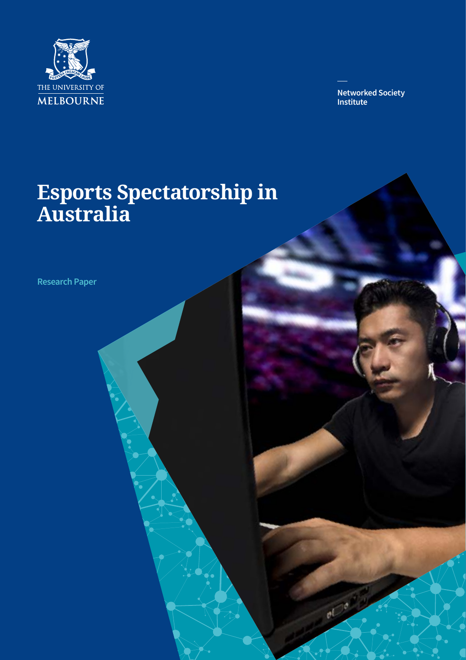

**Networked Society Institute**

ol

# **Esports Spectatorship in Australia**

**Research Paper**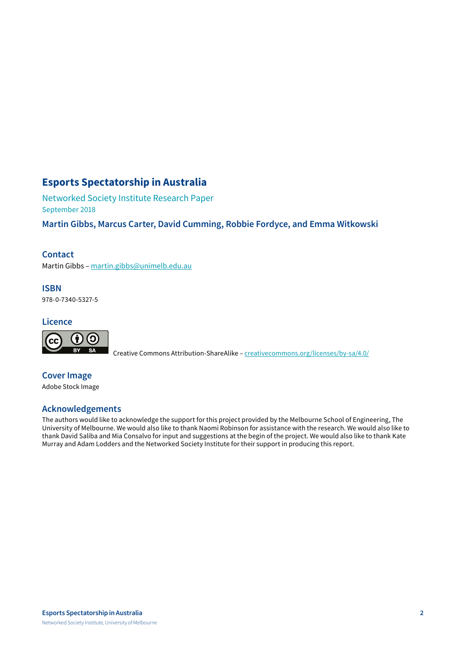#### **Esports Spectatorship in Australia**

Networked Society Institute Research Paper September 2018

**Martin Gibbs, Marcus Carter, David Cumming, Robbie Fordyce, and Emma Witkowski**

#### **Contact**

Martin Gibbs – [martin.gibbs@unimelb.edu.au](mailto:martin.gibbs%40unimelb.edu.au?subject=)

**ISBN** 978-0-7340-5327-5

**Licence**



Creative Commons Attribution-ShareAlike – creativecommons.org/licenses/by-sa/4.0/

**Cover Image** Adobe Stock Image

#### **Acknowledgements**

The authors would like to acknowledge the support for this project provided by the Melbourne School of Engineering, The University of Melbourne. We would also like to thank Naomi Robinson for assistance with the research. We would also like to thank David Saliba and Mia Consalvo for input and suggestions at the begin of the project. We would also like to thank Kate Murray and Adam Lodders and the Networked Society Institute for their support in producing this report.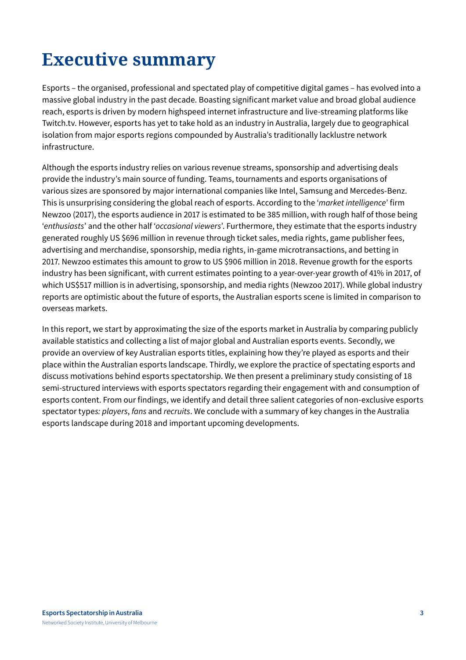# <span id="page-2-0"></span>**Executive summary**

Esports – the organised, professional and spectated play of competitive digital games – has evolved into a massive global industry in the past decade. Boasting significant market value and broad global audience reach, esports is driven by modern highspeed internet infrastructure and live-streaming platforms like Twitch.tv. However, esports has yet to take hold as an industry in Australia, largely due to geographical isolation from major esports regions compounded by Australia's traditionally lacklustre network infrastructure.

Although the esports industry relies on various revenue streams, sponsorship and advertising deals provide the industry's main source of funding. Teams, tournaments and esports organisations of various sizes are sponsored by major international companies like Intel, Samsung and Mercedes-Benz. This is unsurprising considering the global reach of esports. According to the '*market intelligence*' firm Newzoo (2017), the esports audience in 2017 is estimated to be 385 million, with rough half of those being '*enthusiasts*' and the other half '*occasional viewers*'. Furthermore, they estimate that the esports industry generated roughly US \$696 million in revenue through ticket sales, media rights, game publisher fees, advertising and merchandise, sponsorship, media rights, in-game microtransactions, and betting in 2017. Newzoo estimates this amount to grow to US \$906 million in 2018. Revenue growth for the esports industry has been significant, with current estimates pointing to a year-over-year growth of 41% in 2017, of which US\$517 million is in advertising, sponsorship, and media rights (Newzoo 2017). While global industry reports are optimistic about the future of esports, the Australian esports scene is limited in comparison to overseas markets.

In this report, we start by approximating the size of the esports market in Australia by comparing publicly available statistics and collecting a list of major global and Australian esports events. Secondly, we provide an overview of key Australian esports titles, explaining how they're played as esports and their place within the Australian esports landscape. Thirdly, we explore the practice of spectating esports and discuss motivations behind esports spectatorship. We then present a preliminary study consisting of 18 semi-structured interviews with esports spectators regarding their engagement with and consumption of esports content. From our findings, we identify and detail three salient categories of non-exclusive esports spectator type*s: players*, *fans* and *recruits*. We conclude with a summary of key changes in the Australia esports landscape during 2018 and important upcoming developments.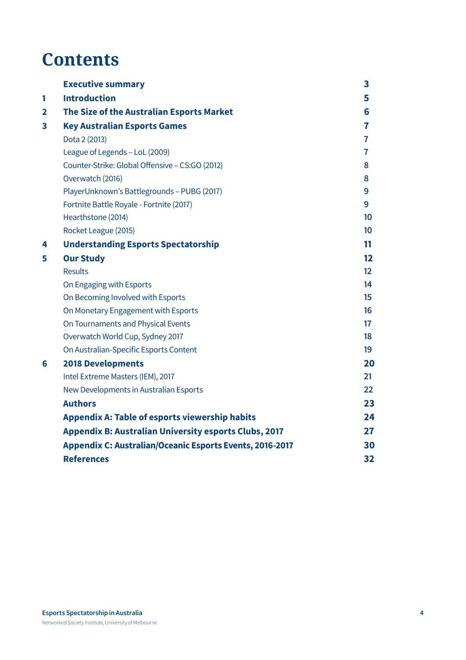## **Contents**

|              | <b>Executive summary</b>                                        | 3               |
|--------------|-----------------------------------------------------------------|-----------------|
| 1            | <b>Introduction</b>                                             | 5               |
| $\mathbf{2}$ | The Size of the Australian Esports Market                       | 6               |
| 3            | <b>Key Australian Esports Games</b>                             | 7               |
|              | Dota 2 (2013)                                                   | 7               |
|              | League of Legends - LoL (2009)                                  | $\overline{7}$  |
|              | Counter-Strike: Global Offensive - CS:GO (2012)                 | 8               |
|              | Overwatch (2016)                                                | 8               |
|              | PlayerUnknown's Battlegrounds - PUBG (2017)                     | 9               |
|              | Fortnite Battle Royale - Fortnite (2017)                        | 9               |
|              | Hearthstone (2014)                                              | 10              |
|              | Rocket League (2015)                                            | 10              |
| 4            | <b>Understanding Esports Spectatorship</b>                      | 11              |
| 5            | <b>Our Study</b>                                                | 12              |
|              | <b>Results</b>                                                  | 12 <sup>°</sup> |
|              | On Engaging with Esports                                        | 14              |
|              | On Becoming Involved with Esports                               | 15              |
|              | On Monetary Engagement with Esports                             | 16              |
|              | On Tournaments and Physical Events                              | 17              |
|              | Overwatch World Cup, Sydney 2017                                | 18              |
|              | On Australian-Specific Esports Content                          | 19              |
| 6            | <b>2018 Developments</b>                                        | 20              |
|              | Intel Extreme Masters (IEM), 2017                               | 21              |
|              | New Developments in Australian Esports                          | 22              |
|              | <b>Authors</b>                                                  | 23              |
|              | <b>Appendix A: Table of esports viewership habits</b>           | 24              |
|              | <b>Appendix B: Australian University esports Clubs, 2017</b>    | 27              |
|              | <b>Appendix C: Australian/Oceanic Esports Events, 2016-2017</b> | 30              |
|              | <b>References</b>                                               | 32              |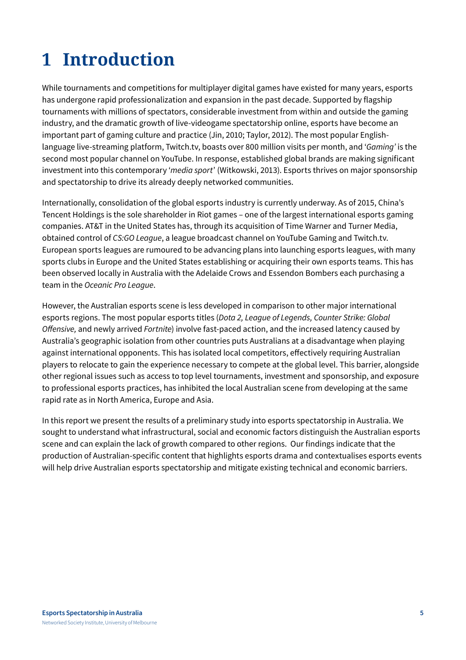# <span id="page-4-0"></span>**1 Introduction**

While tournaments and competitions for multiplayer digital games have existed for many years, esports has undergone rapid professionalization and expansion in the past decade. Supported by flagship tournaments with millions of spectators, considerable investment from within and outside the gaming industry, and the dramatic growth of live-videogame spectatorship online, esports have become an important part of gaming culture and practice (Jin, 2010; Taylor, 2012). The most popular Englishlanguage live-streaming platform, Twitch.tv, boasts over 800 million visits per month, and '*Gaming'* is the second most popular channel on YouTube. In response, established global brands are making significant investment into this contemporary '*media sport*' (Witkowski, 2013). Esports thrives on major sponsorship and spectatorship to drive its already deeply networked communities.

Internationally, consolidation of the global esports industry is currently underway. As of 2015, China's Tencent Holdings is the sole shareholder in Riot games – one of the largest international esports gaming companies. AT&T in the United States has, through its acquisition of Time Warner and Turner Media, obtained control of *CS:GO League*, a league broadcast channel on YouTube Gaming and Twitch.tv. European sports leagues are rumoured to be advancing plans into launching esports leagues, with many sports clubs in Europe and the United States establishing or acquiring their own esports teams. This has been observed locally in Australia with the Adelaide Crows and Essendon Bombers each purchasing a team in the *Oceanic Pro League*.

However, the Australian esports scene is less developed in comparison to other major international esports regions. The most popular esports titles (*Dota 2, League of Legends, Counter Strike: Global Offensive,* and newly arrived *Fortnite*) involve fast-paced action, and the increased latency caused by Australia's geographic isolation from other countries puts Australians at a disadvantage when playing against international opponents. This has isolated local competitors, effectively requiring Australian players to relocate to gain the experience necessary to compete at the global level. This barrier, alongside other regional issues such as access to top level tournaments, investment and sponsorship, and exposure to professional esports practices, has inhibited the local Australian scene from developing at the same rapid rate as in North America, Europe and Asia.

In this report we present the results of a preliminary study into esports spectatorship in Australia. We sought to understand what infrastructural, social and economic factors distinguish the Australian esports scene and can explain the lack of growth compared to other regions. Our findings indicate that the production of Australian-specific content that highlights esports drama and contextualises esports events will help drive Australian esports spectatorship and mitigate existing technical and economic barriers.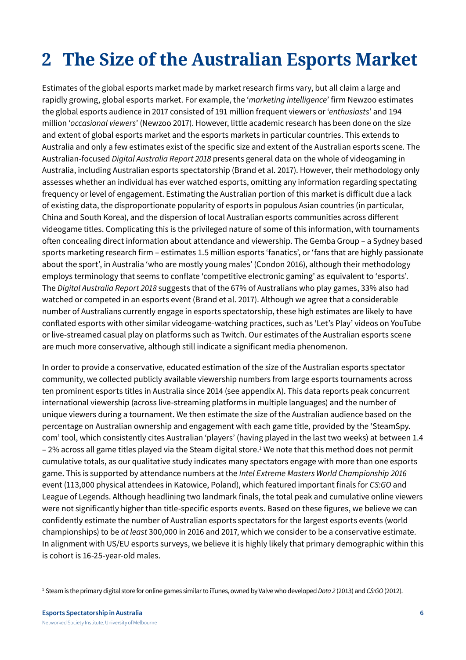# <span id="page-5-0"></span>**2 The Size of the Australian Esports Market**

Estimates of the global esports market made by market research firms vary, but all claim a large and rapidly growing, global esports market. For example, the '*marketing intelligence*' firm Newzoo estimates the global esports audience in 2017 consisted of 191 million frequent viewers or '*enthusiasts*' and 194 million '*occasional viewers*' (Newzoo 2017). However, little academic research has been done on the size and extent of global esports market and the esports markets in particular countries. This extends to Australia and only a few estimates exist of the specific size and extent of the Australian esports scene. The Australian-focused *Digital Australia Report 2018* presents general data on the whole of videogaming in Australia, including Australian esports spectatorship (Brand et al. 2017). However, their methodology only assesses whether an individual has ever watched esports, omitting any information regarding spectating frequency or level of engagement. Estimating the Australian portion of this market is difficult due a lack of existing data, the disproportionate popularity of esports in populous Asian countries (in particular, China and South Korea), and the dispersion of local Australian esports communities across different videogame titles. Complicating this is the privileged nature of some of this information, with tournaments often concealing direct information about attendance and viewership. The Gemba Group – a Sydney based sports marketing research firm – estimates 1.5 million esports 'fanatics', or 'fans that are highly passionate about the sport', in Australia 'who are mostly young males' (Condon 2016), although their methodology employs terminology that seems to conflate 'competitive electronic gaming' as equivalent to 'esports'. The *Digital Australia Report 2018* suggests that of the 67% of Australians who play games, 33% also had watched or competed in an esports event (Brand et al. 2017). Although we agree that a considerable number of Australians currently engage in esports spectatorship, these high estimates are likely to have conflated esports with other similar videogame-watching practices, such as 'Let's Play' videos on YouTube or live-streamed casual play on platforms such as Twitch. Our estimates of the Australian esports scene are much more conservative, although still indicate a significant media phenomenon.

In order to provide a conservative, educated estimation of the size of the Australian esports spectator community, we collected publicly available viewership numbers from large esports tournaments across ten prominent esports titles in Australia since 2014 (see appendix A). This data reports peak concurrent international viewership (across live-streaming platforms in multiple languages) and the number of unique viewers during a tournament. We then estimate the size of the Australian audience based on the percentage on Australian ownership and engagement with each game title, provided by the 'SteamSpy. com' tool, which consistently cites Australian 'players' (having played in the last two weeks) at between 1.4 – 2% across all game titles played via the Steam digital store.<sup>1</sup> We note that this method does not permit cumulative totals, as our qualitative study indicates many spectators engage with more than one esports game. This is supported by attendance numbers at the *Intel Extreme Masters World Championship 2016*  event (113,000 physical attendees in Katowice, Poland), which featured important finals for *CS:GO* and League of Legends. Although headlining two landmark finals, the total peak and cumulative online viewers were not significantly higher than title-specific esports events. Based on these figures, we believe we can confidently estimate the number of Australian esports spectators for the largest esports events (world championships) to be *at least* 300,000 in 2016 and 2017, which we consider to be a conservative estimate. In alignment with US/EU esports surveys, we believe it is highly likely that primary demographic within this is cohort is 16-25-year-old males.

<sup>1</sup> Steam is the primary digital store for online games similar to iTunes, owned by Valve who developed *Dota 2* (2013) and *CS:GO* (2012).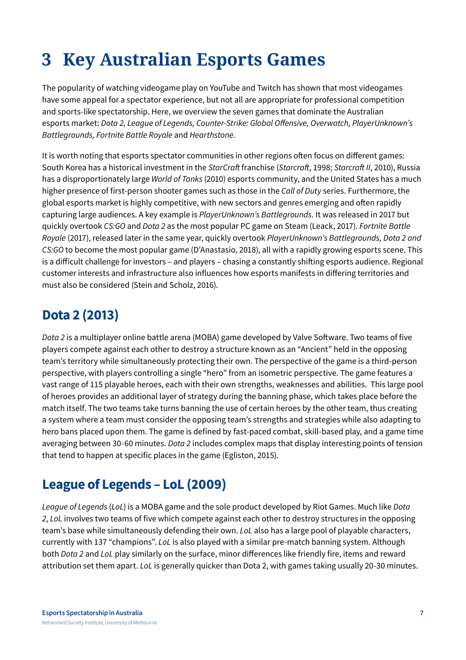# <span id="page-6-0"></span>**3 Key Australian Esports Games**

The popularity of watching videogame play on YouTube and Twitch has shown that most videogames have some appeal for a spectator experience, but not all are appropriate for professional competition and sports-like spectatorship. Here, we overview the seven games that dominate the Australian esports market: *Dota 2, League of Legends, Counter-Strike: Global Offensive, Overwatch, PlayerUnknown's Battlegrounds, Fortnite Battle Royale* and *Hearthstone.*

It is worth noting that esports spectator communities in other regions often focus on different games: South Korea has a historical investment in the *StarCraft* franchise (*Starcraft*, 1998; *Starcraft II*, 2010), Russia has a disproportionately large *World of Tanks* (2010) esports community, and the United States has a much higher presence of first-person shooter games such as those in the *Call of Duty* series. Furthermore, the global esports market is highly competitive, with new sectors and genres emerging and often rapidly capturing large audiences. A key example is *PlayerUnknown's Battlegrounds.* It was released in 2017 but quickly overtook *CS:GO* and *Dota 2* as the most popular PC game on Steam (Leack, 2017). *Fortnite Battle Royale* (2017), released later in the same year, quickly overtook *PlayerUnknown's Battlegrounds, Dota 2 and CS:GO* to become the most popular game (D'Anastasio, 2018), all with a rapidly growing esports scene. This is a difficult challenge for investors – and players – chasing a constantly shifting esports audience. Regional customer interests and infrastructure also influences how esports manifests in differing territories and must also be considered (Stein and Scholz, 2016).

### **Dota 2 (2013)**

*Dota 2* is a multiplayer online battle arena (MOBA) game developed by Valve Software. Two teams of five players compete against each other to destroy a structure known as an "Ancient" held in the opposing team's territory while simultaneously protecting their own. The perspective of the game is a third-person perspective, with players controlling a single "hero" from an isometric perspective. The game features a vast range of 115 playable heroes, each with their own strengths, weaknesses and abilities. This large pool of heroes provides an additional layer of strategy during the banning phase, which takes place before the match itself. The two teams take turns banning the use of certain heroes by the other team, thus creating a system where a team must consider the opposing team's strengths and strategies while also adapting to hero bans placed upon them. The game is defined by fast-paced combat, skill-based play, and a game time averaging between 30-60 minutes. *Dota 2* includes complex maps that display interesting points of tension that tend to happen at specific places in the game (Egliston, 2015).

### **League of Legends – LoL (2009)**

*League of Legends* (*LoL*) is a MOBA game and the sole product developed by Riot Games. Much like *Dota 2*, *LoL* involves two teams of five which compete against each other to destroy structures in the opposing team's base while simultaneously defending their own. *LoL* also has a large pool of playable characters, currently with 137 "champions". *LoL* is also played with a similar pre-match banning system. Although both *Dota 2* and *LoL* play similarly on the surface, minor differences like friendly fire, items and reward attribution set them apart. *LoL* is generally quicker than Dota 2, with games taking usually 20-30 minutes.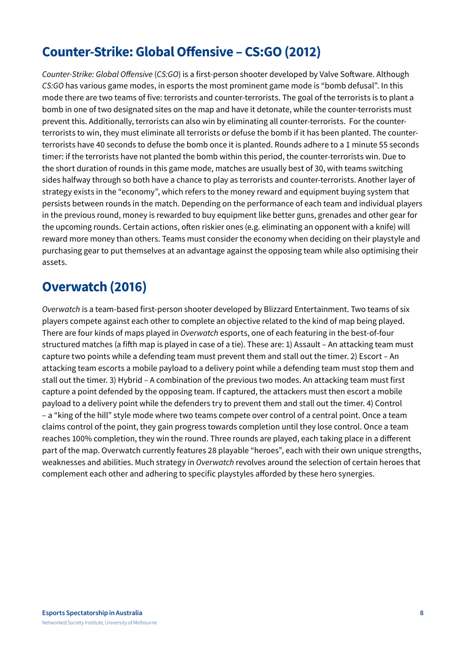## <span id="page-7-0"></span>**Counter-Strike: GlobalOffensive – CS:GO(2012)**

*Counter-Strike: Global Offensive* (*CS:GO*) is a first-person shooter developed by Valve Software. Although *CS:GO* has various game modes, in esports the most prominent game mode is "bomb defusal". In this mode there are two teams of five: terrorists and counter-terrorists. The goal of the terrorists is to plant a bomb in one of two designated sites on the map and have it detonate, while the counter-terrorists must prevent this. Additionally, terrorists can also win by eliminating all counter-terrorists. For the counterterrorists to win, they must eliminate all terrorists or defuse the bomb if it has been planted. The counterterrorists have 40 seconds to defuse the bomb once it is planted. Rounds adhere to a 1 minute 55 seconds timer: if the terrorists have not planted the bomb within this period, the counter-terrorists win. Due to the short duration of rounds in this game mode, matches are usually best of 30, with teams switching sides halfway through so both have a chance to play as terrorists and counter-terrorists. Another layer of strategy exists in the "economy", which refers to the money reward and equipment buying system that persists between rounds in the match. Depending on the performance of each team and individual players in the previous round, money is rewarded to buy equipment like better guns, grenades and other gear for the upcoming rounds. Certain actions, often riskier ones (e.g. eliminating an opponent with a knife) will reward more money than others. Teams must consider the economy when deciding on their playstyle and purchasing gear to put themselves at an advantage against the opposing team while also optimising their assets.

### **Overwatch (2016)**

*Overwatch* is a team-based first-person shooter developed by Blizzard Entertainment. Two teams of six players compete against each other to complete an objective related to the kind of map being played. There are four kinds of maps played in *Overwatch* esports, one of each featuring in the best-of-four structured matches (a fifth map is played in case of a tie). These are: 1) Assault – An attacking team must capture two points while a defending team must prevent them and stall out the timer. 2) Escort – An attacking team escorts a mobile payload to a delivery point while a defending team must stop them and stall out the timer. 3) Hybrid – A combination of the previous two modes. An attacking team must first capture a point defended by the opposing team. If captured, the attackers must then escort a mobile payload to a delivery point while the defenders try to prevent them and stall out the timer. 4) Control – a "king of the hill" style mode where two teams compete over control of a central point. Once a team claims control of the point, they gain progress towards completion until they lose control. Once a team reaches 100% completion, they win the round. Three rounds are played, each taking place in a different part of the map. Overwatch currently features 28 playable "heroes", each with their own unique strengths, weaknesses and abilities. Much strategy in *Overwatch* revolves around the selection of certain heroes that complement each other and adhering to specific playstyles afforded by these hero synergies.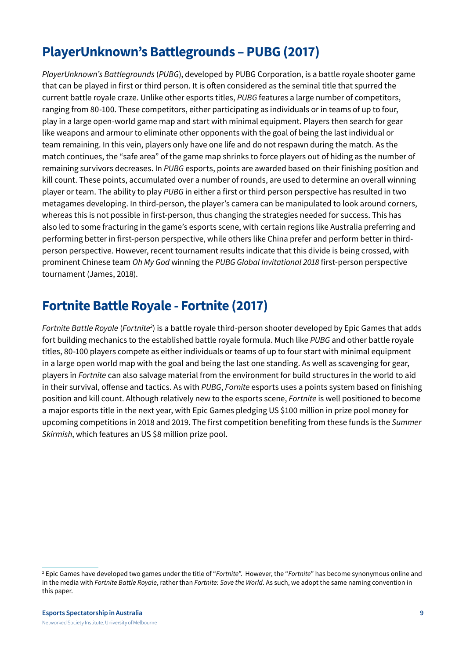## <span id="page-8-0"></span>**PlayerUnknown's Battlegrounds – PUBG (2017)**

*PlayerUnknown's Battlegrounds* (*PUBG*), developed by PUBG Corporation, is a battle royale shooter game that can be played in first or third person. It is often considered as the seminal title that spurred the current battle royale craze. Unlike other esports titles, *PUBG* features a large number of competitors, ranging from 80-100. These competitors, either participating as individuals or in teams of up to four, play in a large open-world game map and start with minimal equipment. Players then search for gear like weapons and armour to eliminate other opponents with the goal of being the last individual or team remaining. In this vein, players only have one life and do not respawn during the match. As the match continues, the "safe area" of the game map shrinks to force players out of hiding as the number of remaining survivors decreases. In *PUBG* esports, points are awarded based on their finishing position and kill count. These points, accumulated over a number of rounds, are used to determine an overall winning player or team. The ability to play *PUBG* in either a first or third person perspective has resulted in two metagames developing. In third-person, the player's camera can be manipulated to look around corners, whereas this is not possible in first-person, thus changing the strategies needed for success. This has also led to some fracturing in the game's esports scene, with certain regions like Australia preferring and performing better in first-person perspective, while others like China prefer and perform better in thirdperson perspective. However, recent tournament results indicate that this divide is being crossed, with prominent Chinese team *Oh My God* winning the *PUBG Global Invitational 2018* first-person perspective tournament (James, 2018).

### **Fortnite Battle Royale - Fortnite (2017)**

Fortnite Battle Royale (Fortnite<sup>2</sup>) is a battle royale third-person shooter developed by Epic Games that adds fort building mechanics to the established battle royale formula. Much like *PUBG* and other battle royale titles, 80-100 players compete as either individuals or teams of up to four start with minimal equipment in a large open world map with the goal and being the last one standing. As well as scavenging for gear, players in *Fortnite* can also salvage material from the environment for build structures in the world to aid in their survival, offense and tactics. As with *PUBG*, *Fornite* esports uses a points system based on finishing position and kill count. Although relatively new to the esports scene, *Fortnite* is well positioned to become a major esports title in the next year, with Epic Games pledging US \$100 million in prize pool money for upcoming competitions in 2018 and 2019. The first competition benefiting from these funds is the *Summer Skirmish*, which features an US \$8 million prize pool.

<sup>2</sup> Epic Games have developed two games under the title of "*Fortnite*". However, the "*Fortnite*" has become synonymous online and in the media with *Fortnite Battle Royale*, rather than *Fortnite: Save the World*. As such, we adopt the same naming convention in this paper.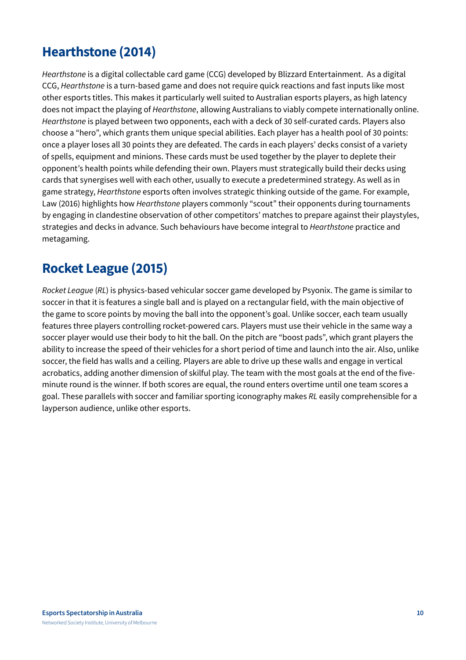## <span id="page-9-0"></span>**Hearthstone (2014)**

*Hearthstone* is a digital collectable card game (CCG) developed by Blizzard Entertainment. As a digital CCG, *Hearthstone* is a turn-based game and does not require quick reactions and fast inputs like most other esports titles. This makes it particularly well suited to Australian esports players, as high latency does not impact the playing of *Hearthstone*, allowing Australians to viably compete internationally online. *Hearthstone* is played between two opponents, each with a deck of 30 self-curated cards. Players also choose a "hero", which grants them unique special abilities. Each player has a health pool of 30 points: once a player loses all 30 points they are defeated. The cards in each players' decks consist of a variety of spells, equipment and minions. These cards must be used together by the player to deplete their opponent's health points while defending their own. Players must strategically build their decks using cards that synergises well with each other, usually to execute a predetermined strategy. As well as in game strategy, *Hearthstone* esports often involves strategic thinking outside of the game. For example, Law (2016) highlights how *Hearthstone* players commonly "scout" their opponents during tournaments by engaging in clandestine observation of other competitors' matches to prepare against their playstyles, strategies and decks in advance. Such behaviours have become integral to *Hearthstone* practice and metagaming.

### **Rocket League (2015)**

*Rocket League* (*RL*) is physics-based vehicular soccer game developed by Psyonix. The game is similar to soccer in that it is features a single ball and is played on a rectangular field, with the main objective of the game to score points by moving the ball into the opponent's goal. Unlike soccer, each team usually features three players controlling rocket-powered cars. Players must use their vehicle in the same way a soccer player would use their body to hit the ball. On the pitch are "boost pads", which grant players the ability to increase the speed of their vehicles for a short period of time and launch into the air. Also, unlike soccer, the field has walls and a ceiling. Players are able to drive up these walls and engage in vertical acrobatics, adding another dimension of skilful play. The team with the most goals at the end of the fiveminute round is the winner. If both scores are equal, the round enters overtime until one team scores a goal. These parallels with soccer and familiar sporting iconography makes *RL* easily comprehensible for a layperson audience, unlike other esports.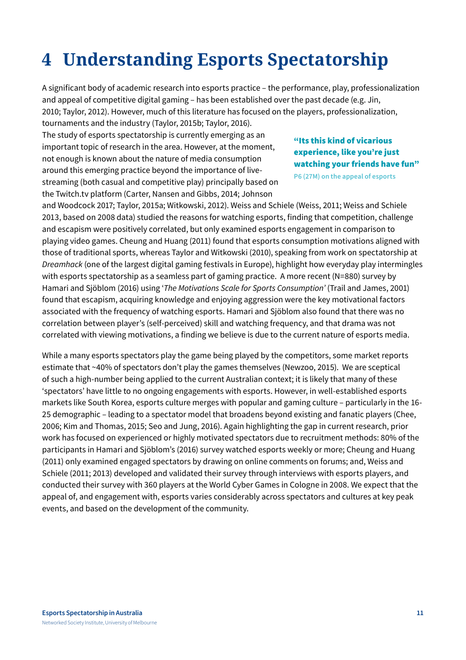# <span id="page-10-0"></span>**4 Understanding Esports Spectatorship**

A significant body of academic research into esports practice – the performance, play, professionalization and appeal of competitive digital gaming – has been established over the past decade (e.g. Jin, 2010; Taylor, 2012). However, much of this literature has focused on the players, professionalization,

tournaments and the industry (Taylor, 2015b; Taylor, 2016). The study of esports spectatorship is currently emerging as an important topic of research in the area. However, at the moment, not enough is known about the nature of media consumption around this emerging practice beyond the importance of livestreaming (both casual and competitive play) principally based on the Twitch.tv platform (Carter, Nansen and Gibbs, 2014; Johnson

"Its this kind of vicarious experience, like you're just watching your friends have fun" **P6 (27M) on the appeal of esports**

and Woodcock 2017; Taylor, 2015a; Witkowski, 2012). Weiss and Schiele (Weiss, 2011; Weiss and Schiele 2013, based on 2008 data) studied the reasons for watching esports, finding that competition, challenge and escapism were positively correlated, but only examined esports engagement in comparison to playing video games. Cheung and Huang (2011) found that esports consumption motivations aligned with those of traditional sports, whereas Taylor and Witkowski (2010), speaking from work on spectatorship at *Dreamhack* (one of the largest digital gaming festivals in Europe), highlight how everyday play intermingles with esports spectatorship as a seamless part of gaming practice. A more recent (N=880) survey by Hamari and Sjöblom (2016) using '*The Motivations Scale for Sports Consumption'* (Trail and James, 2001) found that escapism, acquiring knowledge and enjoying aggression were the key motivational factors associated with the frequency of watching esports. Hamari and Sjöblom also found that there was no correlation between player's (self-perceived) skill and watching frequency, and that drama was not correlated with viewing motivations, a finding we believe is due to the current nature of esports media.

While a many esports spectators play the game being played by the competitors, some market reports estimate that ~40% of spectators don't play the games themselves (Newzoo, 2015). We are sceptical of such a high-number being applied to the current Australian context; it is likely that many of these 'spectators' have little to no ongoing engagements with esports. However, in well-established esports markets like South Korea, esports culture merges with popular and gaming culture – particularly in the 16- 25 demographic – leading to a spectator model that broadens beyond existing and fanatic players (Chee, 2006; Kim and Thomas, 2015; Seo and Jung, 2016). Again highlighting the gap in current research, prior work has focused on experienced or highly motivated spectators due to recruitment methods: 80% of the participants in Hamari and Sjöblom's (2016) survey watched esports weekly or more; Cheung and Huang (2011) only examined engaged spectators by drawing on online comments on forums; and, Weiss and Schiele (2011; 2013) developed and validated their survey through interviews with esports players, and conducted their survey with 360 players at the World Cyber Games in Cologne in 2008. We expect that the appeal of, and engagement with, esports varies considerably across spectators and cultures at key peak events, and based on the development of the community.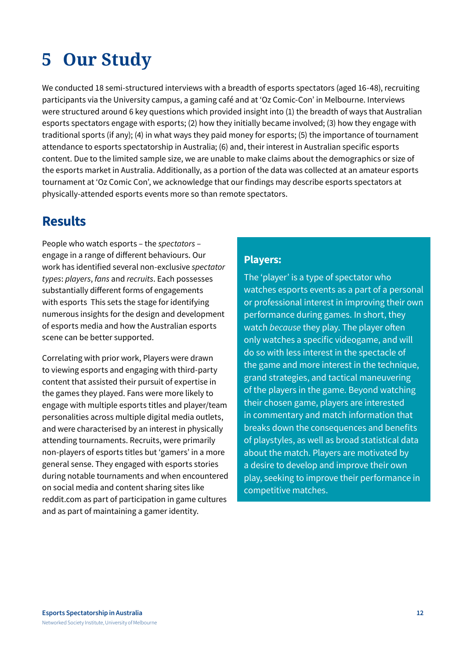# <span id="page-11-0"></span>**5 Our Study**

We conducted 18 semi-structured interviews with a breadth of esports spectators (aged 16-48), recruiting participants via the University campus, a gaming café and at 'Oz Comic-Con' in Melbourne. Interviews were structured around 6 key questions which provided insight into (1) the breadth of ways that Australian esports spectators engage with esports; (2) how they initially became involved; (3) how they engage with traditional sports (if any); (4) in what ways they paid money for esports; (5) the importance of tournament attendance to esports spectatorship in Australia; (6) and, their interest in Australian specific esports content. Due to the limited sample size, we are unable to make claims about the demographics or size of the esports market in Australia. Additionally, as a portion of the data was collected at an amateur esports tournament at 'Oz Comic Con', we acknowledge that our findings may describe esports spectators at physically-attended esports events more so than remote spectators.

### **Results**

People who watch esports – the *spectators* – engage in a range of different behaviours. Our work has identified several non-exclusive *spectator types*: *players*, *fans* and *recruits*. Each possesses substantially different forms of engagements with esports This sets the stage for identifying numerous insights for the design and development of esports media and how the Australian esports scene can be better supported.

Correlating with prior work, Players were drawn to viewing esports and engaging with third-party content that assisted their pursuit of expertise in the games they played. Fans were more likely to engage with multiple esports titles and player/team personalities across multiple digital media outlets, and were characterised by an interest in physically attending tournaments. Recruits, were primarily non-players of esports titles but 'gamers' in a more general sense. They engaged with esports stories during notable tournaments and when encountered on social media and content sharing sites like reddit.com as part of participation in game cultures and as part of maintaining a gamer identity.

#### **Players:**

The 'player' is a type of spectator who watches esports events as a part of a personal or professional interest in improving their own performance during games. In short, they watch *because* they play. The player often only watches a specific videogame, and will do so with less interest in the spectacle of the game and more interest in the technique, grand strategies, and tactical maneuvering of the players in the game. Beyond watching their chosen game, players are interested in commentary and match information that breaks down the consequences and benefits of playstyles, as well as broad statistical data about the match. Players are motivated by a desire to develop and improve their own play, seeking to improve their performance in competitive matches.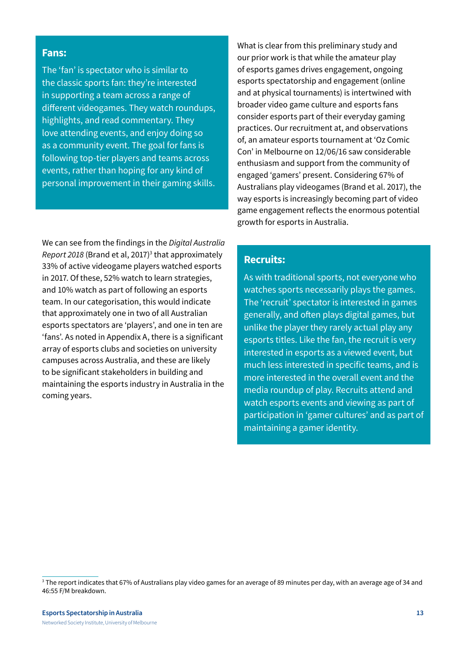#### **Fans:**

The 'fan' is spectator who is similar to the classic sports fan: they're interested in supporting a team across a range of different videogames. They watch roundups, highlights, and read commentary. They love attending events, and enjoy doing so as a community event. The goal for fans is following top-tier players and teams across events, rather than hoping for any kind of personal improvement in their gaming skills.

We can see from the findings in the *Digital Australia*  Report 2018 (Brand et al, 2017)<sup>3</sup> that approximately 33% of active videogame players watched esports in 2017. Of these, 52% watch to learn strategies, and 10% watch as part of following an esports team. In our categorisation, this would indicate that approximately one in two of all Australian esports spectators are 'players', and one in ten are 'fans'. As noted in Appendix A, there is a significant array of esports clubs and societies on university campuses across Australia, and these are likely to be significant stakeholders in building and maintaining the esports industry in Australia in the coming years.

What is clear from this preliminary study and our prior work is that while the amateur play of esports games drives engagement, ongoing esports spectatorship and engagement (online and at physical tournaments) is intertwined with broader video game culture and esports fans consider esports part of their everyday gaming practices. Our recruitment at, and observations of, an amateur esports tournament at 'Oz Comic Con' in Melbourne on 12/06/16 saw considerable enthusiasm and support from the community of engaged 'gamers' present. Considering 67% of Australians play videogames (Brand et al. 2017), the way esports is increasingly becoming part of video game engagement reflects the enormous potential growth for esports in Australia.

#### **Recruits:**

As with traditional sports, not everyone who watches sports necessarily plays the games. The 'recruit' spectator is interested in games generally, and often plays digital games, but unlike the player they rarely actual play any esports titles. Like the fan, the recruit is very interested in esports as a viewed event, but much less interested in specific teams, and is more interested in the overall event and the media roundup of play. Recruits attend and watch esports events and viewing as part of participation in 'gamer cultures' and as part of maintaining a gamer identity.

 $^3$  The report indicates that 67% of Australians play video games for an average of 89 minutes per day, with an average age of 34 and 46:55 F/M breakdown.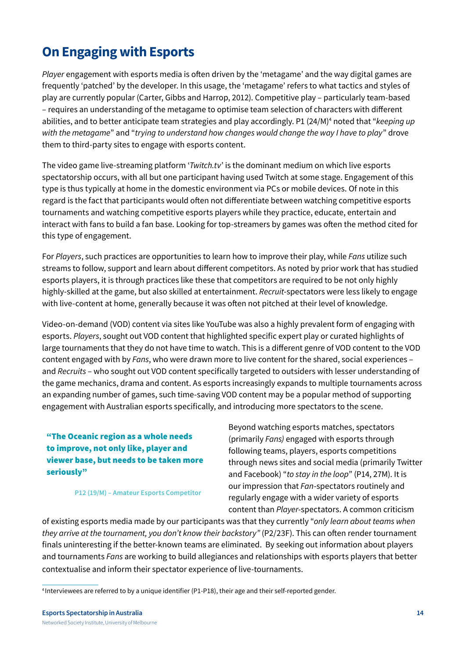## <span id="page-13-0"></span>**On Engaging with Esports**

*Player* engagement with esports media is often driven by the 'metagame' and the way digital games are frequently 'patched' by the developer. In this usage, the 'metagame' refers to what tactics and styles of play are currently popular (Carter, Gibbs and Harrop, 2012). Competitive play – particularly team-based – requires an understanding of the metagame to optimise team selection of characters with different abilities, and to better anticipate team strategies and play accordingly. P1 (24/M)4 noted that "*keeping up with the metagame*" and "*trying to understand how changes would change the way I have to play*" drove them to third-party sites to engage with esports content.

The video game live-streaming platform '*Twitch.tv*' is the dominant medium on which live esports spectatorship occurs, with all but one participant having used Twitch at some stage. Engagement of this type is thus typically at home in the domestic environment via PCs or mobile devices. Of note in this regard is the fact that participants would often not differentiate between watching competitive esports tournaments and watching competitive esports players while they practice, educate, entertain and interact with fans to build a fan base. Looking for top-streamers by games was often the method cited for this type of engagement.

For *Players*, such practices are opportunities to learn how to improve their play, while *Fans* utilize such streams to follow, support and learn about different competitors. As noted by prior work that has studied esports players, it is through practices like these that competitors are required to be not only highly highly-skilled at the game, but also skilled at entertainment. *Recruit*-spectators were less likely to engage with live-content at home, generally because it was often not pitched at their level of knowledge.

Video-on-demand (VOD) content via sites like YouTube was also a highly prevalent form of engaging with esports. *Players*, sought out VOD content that highlighted specific expert play or curated highlights of large tournaments that they do not have time to watch. This is a different genre of VOD content to the VOD content engaged with by *Fans*, who were drawn more to live content for the shared, social experiences – and *Recruits* – who sought out VOD content specifically targeted to outsiders with lesser understanding of the game mechanics, drama and content. As esports increasingly expands to multiple tournaments across an expanding number of games, such time-saving VOD content may be a popular method of supporting engagement with Australian esports specifically, and introducing more spectators to the scene.

#### "The Oceanic region as a whole needs to improve, not only like, player and viewer base, but needs to be taken more seriously"

**P12 (19/M) – Amateur Esports Competitor**

Beyond watching esports matches, spectators (primarily *Fans)* engaged with esports through following teams, players, esports competitions through news sites and social media (primarily Twitter and Facebook) "*to stay in the loop*" (P14, 27M). It is our impression that *Fan*-spectators routinely and regularly engage with a wider variety of esports content than *Player*-spectators. A common criticism

of existing esports media made by our participants was that they currently "*only learn about teams when they arrive at the tournament, you don't know their backstory"* (P2/23F). This can often render tournament finals uninteresting if the better-known teams are eliminated. By seeking out information about players and tournaments *Fans* are working to build allegiances and relationships with esports players that better contextualise and inform their spectator experience of live-tournaments.

<sup>4</sup>Interviewees are referred to by a unique identifier (P1-P18), their age and their self-reported gender.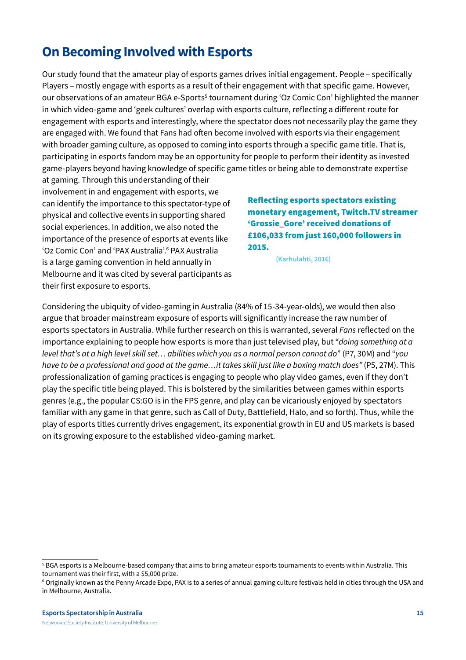## <span id="page-14-0"></span>**On Becoming Involved with Esports**

Our study found that the amateur play of esports games drives initial engagement. People – specifically Players – mostly engage with esports as a result of their engagement with that specific game. However, our observations of an amateur BGA e-Sports<sup>5</sup> tournament during 'Oz Comic Con' highlighted the manner in which video-game and 'geek cultures' overlap with esports culture, reflecting a different route for engagement with esports and interestingly, where the spectator does not necessarily play the game they are engaged with. We found that Fans had often become involved with esports via their engagement with broader gaming culture, as opposed to coming into esports through a specific game title. That is, participating in esports fandom may be an opportunity for people to perform their identity as invested game-players beyond having knowledge of specific game titles or being able to demonstrate expertise

at gaming. Through this understanding of their involvement in and engagement with esports, we can identify the importance to this spectator-type of physical and collective events in supporting shared social experiences. In addition, we also noted the importance of the presence of esports at events like 'Oz Comic Con' and 'PAX Australia'.6 PAX Australia is a large gaming convention in held annually in Melbourne and it was cited by several participants as their first exposure to esports.

Reflecting esports spectators existing monetary engagement, Twitch.TV streamer 'Grossie\_Gore' received donations of £106,033 from just 160,000 followers in 2015.

**(Karhulahti, 2016)**

Considering the ubiquity of video-gaming in Australia (84% of 15-34-year-olds), we would then also argue that broader mainstream exposure of esports will significantly increase the raw number of esports spectators in Australia. While further research on this is warranted, several *Fans* reflected on the importance explaining to people how esports is more than just televised play, but "*doing something at a level that's at a high level skill set… abilities which you as a normal person cannot do*" (P7, 30M) and "*you have to be a professional and good at the game…it takes skill just like a boxing match does"* (P5, 27M). This professionalization of gaming practices is engaging to people who play video games, even if they don't play the specific title being played. This is bolstered by the similarities between games within esports genres (e.g., the popular CS:GO is in the FPS genre, and play can be vicariously enjoyed by spectators familiar with any game in that genre, such as Call of Duty, Battlefield, Halo, and so forth). Thus, while the play of esports titles currently drives engagement, its exponential growth in EU and US markets is based on its growing exposure to the established video-gaming market.

<sup>5</sup> BGA esports is a Melbourne-based company that aims to bring amateur esports tournaments to events within Australia. This tournament was their first, with a \$5,000 prize.

 $^{\rm 6}$  Originally known as the Penny Arcade Expo, PAX is to a series of annual gaming culture festivals held in cities through the USA and in Melbourne, Australia.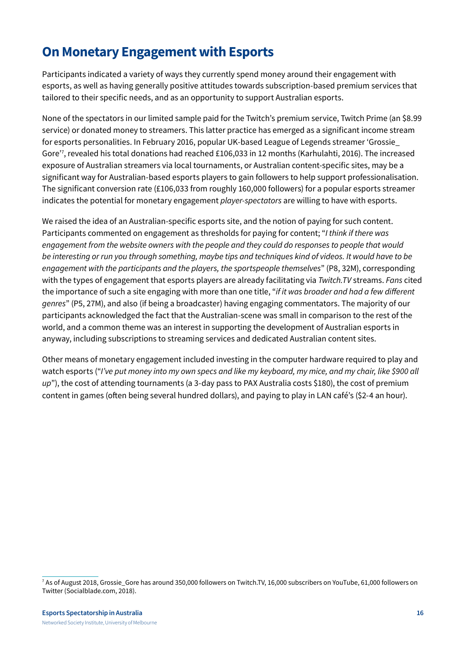## <span id="page-15-0"></span>**On Monetary Engagement with Esports**

Participants indicated a variety of ways they currently spend money around their engagement with esports, as well as having generally positive attitudes towards subscription-based premium services that tailored to their specific needs, and as an opportunity to support Australian esports.

None of the spectators in our limited sample paid for the Twitch's premium service, Twitch Prime (an \$8.99 service) or donated money to streamers. This latter practice has emerged as a significant income stream for esports personalities. In February 2016, popular UK-based League of Legends streamer 'Grossie\_ Gore'7 , revealed his total donations had reached £106,033 in 12 months (Karhulahti, 2016). The increased exposure of Australian streamers via local tournaments, or Australian content-specific sites, may be a significant way for Australian-based esports players to gain followers to help support professionalisation. The significant conversion rate (£106,033 from roughly 160,000 followers) for a popular esports streamer indicates the potential for monetary engagement *player-spectators* are willing to have with esports.

We raised the idea of an Australian-specific esports site, and the notion of paying for such content. Participants commented on engagement as thresholds for paying for content; "*I think if there was engagement from the website owners with the people and they could do responses to people that would be interesting or run you through something, maybe tips and techniques kind of videos. It would have to be engagement with the participants and the players, the sportspeople themselves*" (P8, 32M), corresponding with the types of engagement that esports players are already facilitating via *Twitch.TV* streams. *Fans* cited the importance of such a site engaging with more than one title, "*if it was broader and had a few different genres*" (P5, 27M), and also (if being a broadcaster) having engaging commentators. The majority of our participants acknowledged the fact that the Australian-scene was small in comparison to the rest of the world, and a common theme was an interest in supporting the development of Australian esports in anyway, including subscriptions to streaming services and dedicated Australian content sites.

Other means of monetary engagement included investing in the computer hardware required to play and watch esports ("*I've put money into my own specs and like my keyboard, my mice, and my chair, like \$900 all up*"), the cost of attending tournaments (a 3-day pass to PAX Australia costs \$180), the cost of premium content in games (often being several hundred dollars), and paying to play in LAN café's (\$2-4 an hour).

<sup>7</sup> As of August 2018, Grossie\_Gore has around 350,000 followers on Twitch.TV, 16,000 subscribers on YouTube, 61,000 followers on Twitter (Socialblade.com, 2018).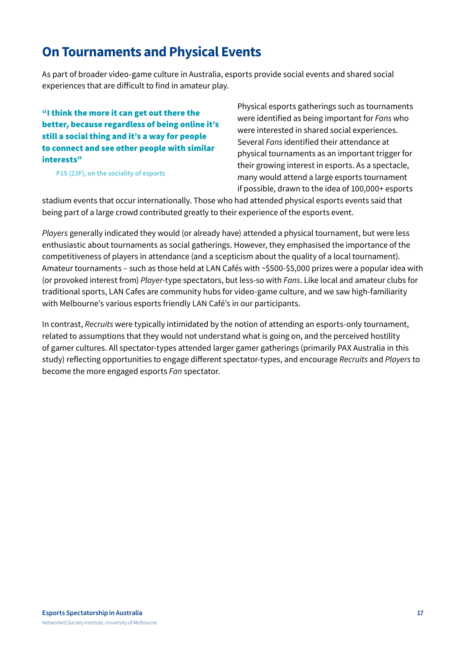## <span id="page-16-0"></span>**On Tournaments and Physical Events**

As part of broader video-game culture in Australia, esports provide social events and shared social experiences that are difficult to find in amateur play.

"I think the more it can get out there the better, because regardless of being online it's still a social thing and it's a way for people to connect and see other people with similar interests"

**P15 (23F), on the sociality of esports**

Physical esports gatherings such as tournaments were identified as being important for *Fans* who were interested in shared social experiences. Several *Fans* identified their attendance at physical tournaments as an important trigger for their growing interest in esports. As a spectacle, many would attend a large esports tournament if possible, drawn to the idea of 100,000+ esports

stadium events that occur internationally. Those who had attended physical esports events said that being part of a large crowd contributed greatly to their experience of the esports event.

*Players* generally indicated they would (or already have) attended a physical tournament, but were less enthusiastic about tournaments as social gatherings. However, they emphasised the importance of the competitiveness of players in attendance (and a scepticism about the quality of a local tournament). Amateur tournaments – such as those held at LAN Cafés with ~\$500-\$5,000 prizes were a popular idea with (or provoked interest from) *Player*-type spectators, but less-so with *Fans*. Like local and amateur clubs for traditional sports, LAN Cafes are community hubs for video-game culture, and we saw high-familiarity with Melbourne's various esports friendly LAN Café's in our participants.

In contrast, *Recruits* were typically intimidated by the notion of attending an esports-only tournament, related to assumptions that they would not understand what is going on, and the perceived hostility of gamer cultures. All spectator-types attended larger gamer gatherings (primarily PAX Australia in this study) reflecting opportunities to engage different spectator-types, and encourage *Recruits* and *Players* to become the more engaged esports *Fan* spectator.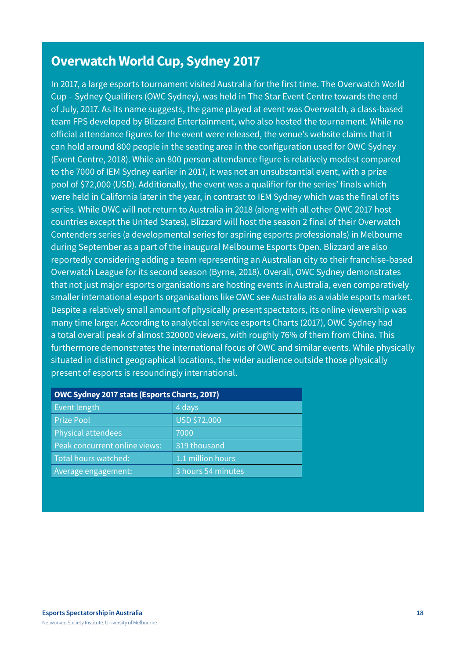### <span id="page-17-0"></span>**Overwatch World Cup, Sydney 2017**

In 2017, a large esports tournament visited Australia for the first time. The Overwatch World Cup – Sydney Qualifiers (OWC Sydney), was held in The Star Event Centre towards the end of July, 2017. As its name suggests, the game played at event was Overwatch, a class-based team FPS developed by Blizzard Entertainment, who also hosted the tournament. While no official attendance figures for the event were released, the venue's website claims that it can hold around 800 people in the seating area in the configuration used for OWC Sydney (Event Centre, 2018). While an 800 person attendance figure is relatively modest compared to the 7000 of IEM Sydney earlier in 2017, it was not an unsubstantial event, with a prize pool of \$72,000 (USD). Additionally, the event was a qualifier for the series' finals which were held in California later in the year, in contrast to IEM Sydney which was the final of its series. While OWC will not return to Australia in 2018 (along with all other OWC 2017 host countries except the United States), Blizzard will host the season 2 final of their Overwatch Contenders series (a developmental series for aspiring esports professionals) in Melbourne during September as a part of the inaugural Melbourne Esports Open. Blizzard are also reportedly considering adding a team representing an Australian city to their franchise-based Overwatch League for its second season (Byrne, 2018). Overall, OWC Sydney demonstrates that not just major esports organisations are hosting events in Australia, even comparatively smaller international esports organisations like OWC see Australia as a viable esports market. Despite a relatively small amount of physically present spectators, its online viewership was many time larger. According to analytical service esports Charts (2017), OWC Sydney had a total overall peak of almost 320000 viewers, with roughly 76% of them from China. This furthermore demonstrates the international focus of OWC and similar events. While physically situated in distinct geographical locations, the wider audience outside those physically present of esports is resoundingly international.

| <b>OWC Sydney 2017 stats (Esports Charts, 2017)</b> |                    |  |  |
|-----------------------------------------------------|--------------------|--|--|
| Event length                                        | 4 days             |  |  |
| <b>Prize Pool</b>                                   | USD \$72,000       |  |  |
| <b>Physical attendees</b>                           | 7000               |  |  |
| Peak concurrent online views:                       | 319 thousand       |  |  |
| Total hours watched:                                | 1.1 million hours  |  |  |
| Average engagement:                                 | 3 hours 54 minutes |  |  |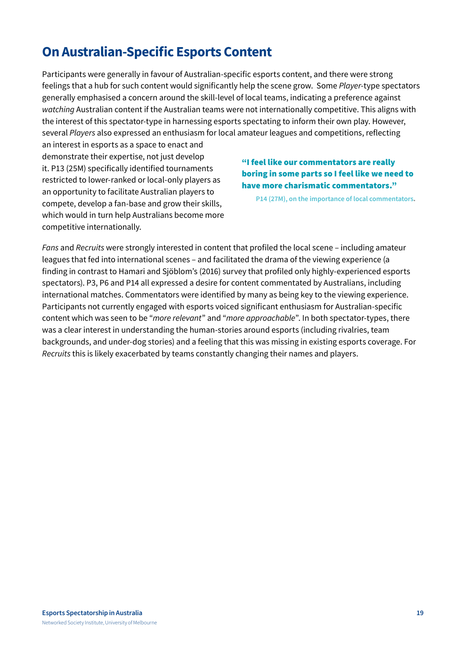## <span id="page-18-0"></span>**On Australian-Specific Esports Content**

Participants were generally in favour of Australian-specific esports content, and there were strong feelings that a hub for such content would significantly help the scene grow. Some *Player*-type spectators generally emphasised a concern around the skill-level of local teams, indicating a preference against *watching* Australian content if the Australian teams were not internationally competitive. This aligns with the interest of this spectator-type in harnessing esports spectating to inform their own play. However, several *Players* also expressed an enthusiasm for local amateur leagues and competitions, reflecting

an interest in esports as a space to enact and demonstrate their expertise, not just develop it. P13 (25M) specifically identified tournaments restricted to lower-ranked or local-only players as an opportunity to facilitate Australian players to compete, develop a fan-base and grow their skills, which would in turn help Australians become more competitive internationally.

#### "I feel like our commentators are really boring in some parts so I feel like we need to have more charismatic commentators."

**P14 (27M), on the importance of local commentators.**

*Fans* and *Recruits* were strongly interested in content that profiled the local scene – including amateur leagues that fed into international scenes – and facilitated the drama of the viewing experience (a finding in contrast to Hamari and Sjöblom's (2016) survey that profiled only highly-experienced esports spectators). P3, P6 and P14 all expressed a desire for content commentated by Australians, including international matches. Commentators were identified by many as being key to the viewing experience. Participants not currently engaged with esports voiced significant enthusiasm for Australian-specific content which was seen to be "*more relevant*" and "*more approachable*". In both spectator-types, there was a clear interest in understanding the human-stories around esports (including rivalries, team backgrounds, and under-dog stories) and a feeling that this was missing in existing esports coverage. For *Recruits* this is likely exacerbated by teams constantly changing their names and players.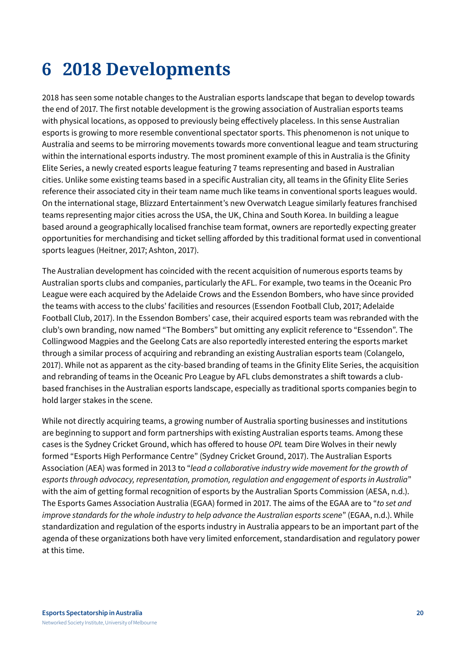# <span id="page-19-0"></span>**6 2018 Developments**

2018 has seen some notable changes to the Australian esports landscape that began to develop towards the end of 2017. The first notable development is the growing association of Australian esports teams with physical locations, as opposed to previously being effectively placeless. In this sense Australian esports is growing to more resemble conventional spectator sports. This phenomenon is not unique to Australia and seems to be mirroring movements towards more conventional league and team structuring within the international esports industry. The most prominent example of this in Australia is the Gfinity Elite Series, a newly created esports league featuring 7 teams representing and based in Australian cities. Unlike some existing teams based in a specific Australian city, all teams in the Gfinity Elite Series reference their associated city in their team name much like teams in conventional sports leagues would. On the international stage, Blizzard Entertainment's new Overwatch League similarly features franchised teams representing major cities across the USA, the UK, China and South Korea. In building a league based around a geographically localised franchise team format, owners are reportedly expecting greater opportunities for merchandising and ticket selling afforded by this traditional format used in conventional sports leagues (Heitner, 2017; Ashton, 2017).

The Australian development has coincided with the recent acquisition of numerous esports teams by Australian sports clubs and companies, particularly the AFL. For example, two teams in the Oceanic Pro League were each acquired by the Adelaide Crows and the Essendon Bombers, who have since provided the teams with access to the clubs' facilities and resources (Essendon Football Club, 2017; Adelaide Football Club, 2017). In the Essendon Bombers' case, their acquired esports team was rebranded with the club's own branding, now named "The Bombers" but omitting any explicit reference to "Essendon". The Collingwood Magpies and the Geelong Cats are also reportedly interested entering the esports market through a similar process of acquiring and rebranding an existing Australian esports team (Colangelo, 2017). While not as apparent as the city-based branding of teams in the Gfinity Elite Series, the acquisition and rebranding of teams in the Oceanic Pro League by AFL clubs demonstrates a shift towards a clubbased franchises in the Australian esports landscape, especially as traditional sports companies begin to hold larger stakes in the scene.

While not directly acquiring teams, a growing number of Australia sporting businesses and institutions are beginning to support and form partnerships with existing Australian esports teams. Among these cases is the Sydney Cricket Ground, which has offered to house *OPL* team Dire Wolves in their newly formed "Esports High Performance Centre" (Sydney Cricket Ground, 2017). The Australian Esports Association (AEA) was formed in 2013 to "*lead a collaborative industry wide movement for the growth of esports through advocacy, representation, promotion, regulation and engagement of esports in Australia*" with the aim of getting formal recognition of esports by the Australian Sports Commission (AESA, n.d.). The Esports Games Association Australia (EGAA) formed in 2017. The aims of the EGAA are to "*to set and improve standards for the whole industry to help advance the Australian esports scene*" (EGAA, n.d.). While standardization and regulation of the esports industry in Australia appears to be an important part of the agenda of these organizations both have very limited enforcement, standardisation and regulatory power at this time.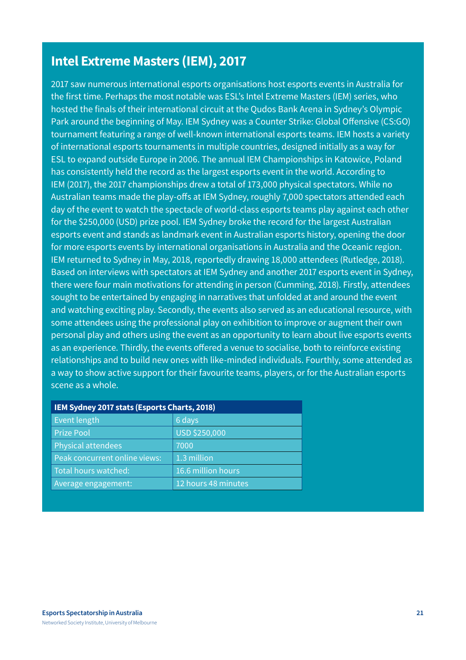### <span id="page-20-0"></span>**Intel Extreme Masters (IEM), 2017**

2017 saw numerous international esports organisations host esports events in Australia for the first time. Perhaps the most notable was ESL's Intel Extreme Masters (IEM) series, who hosted the finals of their international circuit at the Qudos Bank Arena in Sydney's Olympic Park around the beginning of May. IEM Sydney was a Counter Strike: Global Offensive (CS:GO) tournament featuring a range of well-known international esports teams. IEM hosts a variety of international esports tournaments in multiple countries, designed initially as a way for ESL to expand outside Europe in 2006. The annual IEM Championships in Katowice, Poland has consistently held the record as the largest esports event in the world. According to IEM (2017), the 2017 championships drew a total of 173,000 physical spectators. While no Australian teams made the play-offs at IEM Sydney, roughly 7,000 spectators attended each day of the event to watch the spectacle of world-class esports teams play against each other for the \$250,000 (USD) prize pool. IEM Sydney broke the record for the largest Australian esports event and stands as landmark event in Australian esports history, opening the door for more esports events by international organisations in Australia and the Oceanic region. IEM returned to Sydney in May, 2018, reportedly drawing 18,000 attendees (Rutledge, 2018). Based on interviews with spectators at IEM Sydney and another 2017 esports event in Sydney, there were four main motivations for attending in person (Cumming, 2018). Firstly, attendees sought to be entertained by engaging in narratives that unfolded at and around the event and watching exciting play. Secondly, the events also served as an educational resource, with some attendees using the professional play on exhibition to improve or augment their own personal play and others using the event as an opportunity to learn about live esports events as an experience. Thirdly, the events offered a venue to socialise, both to reinforce existing relationships and to build new ones with like-minded individuals. Fourthly, some attended as a way to show active support for their favourite teams, players, or for the Australian esports scene as a whole.

| IEM Sydney 2017 stats (Esports Charts, 2018) |                     |  |  |
|----------------------------------------------|---------------------|--|--|
| Event length                                 | 6 days              |  |  |
| <b>Prize Pool</b>                            | USD \$250,000       |  |  |
| Physical attendees                           | 7000                |  |  |
| Peak concurrent online views:                | 1.3 million         |  |  |
| Total hours watched:                         | 16.6 million hours  |  |  |
| Average engagement:                          | 12 hours 48 minutes |  |  |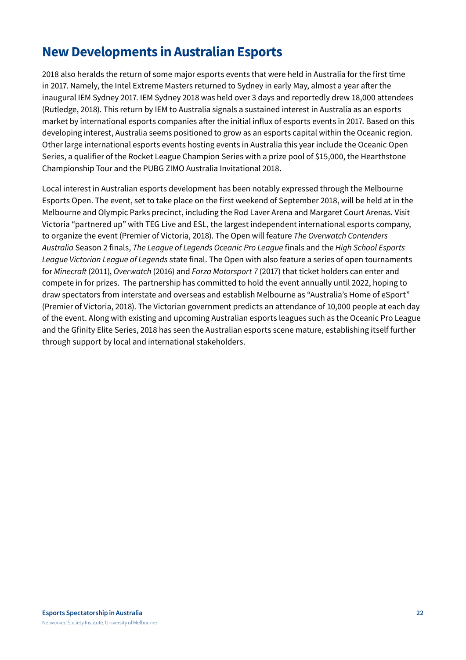## <span id="page-21-0"></span>**New Developments in Australian Esports**

2018 also heralds the return of some major esports events that were held in Australia for the first time in 2017. Namely, the Intel Extreme Masters returned to Sydney in early May, almost a year after the inaugural IEM Sydney 2017. IEM Sydney 2018 was held over 3 days and reportedly drew 18,000 attendees (Rutledge, 2018). This return by IEM to Australia signals a sustained interest in Australia as an esports market by international esports companies after the initial influx of esports events in 2017. Based on this developing interest, Australia seems positioned to grow as an esports capital within the Oceanic region. Other large international esports events hosting events in Australia this year include the Oceanic Open Series, a qualifier of the Rocket League Champion Series with a prize pool of \$15,000, the Hearthstone Championship Tour and the PUBG ZIMO Australia Invitational 2018.

Local interest in Australian esports development has been notably expressed through the Melbourne Esports Open. The event, set to take place on the first weekend of September 2018, will be held at in the Melbourne and Olympic Parks precinct, including the Rod Laver Arena and Margaret Court Arenas. Visit Victoria "partnered up" with TEG Live and ESL, the largest independent international esports company, to organize the event (Premier of Victoria, 2018). The Open will feature *The Overwatch Contenders Australia* Season 2 finals, *The League of Legends Oceanic Pro League* finals and the *High School Esports League Victorian League of Legends* state final. The Open with also feature a series of open tournaments for *Minecraft* (2011), *Overwatch* (2016) and *Forza Motorsport 7* (2017) that ticket holders can enter and compete in for prizes. The partnership has committed to hold the event annually until 2022, hoping to draw spectators from interstate and overseas and establish Melbourne as "Australia's Home of eSport" (Premier of Victoria, 2018). The Victorian government predicts an attendance of 10,000 people at each day of the event. Along with existing and upcoming Australian esports leagues such as the Oceanic Pro League and the Gfinity Elite Series, 2018 has seen the Australian esports scene mature, establishing itself further through support by local and international stakeholders.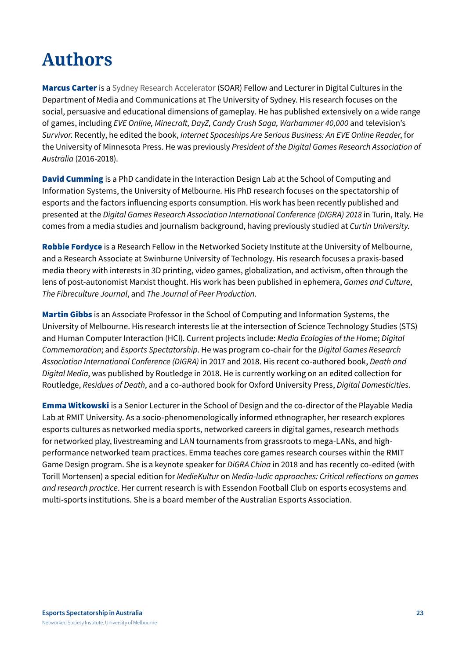# <span id="page-22-0"></span>**Authors**

**Marcus Carter** is a Sydney Research Accelerator (SOAR) Fellow and Lecturer in Digital Cultures in the Department of Media and Communications at The University of Sydney. His research focuses on the social, persuasive and educational dimensions of gameplay. He has published extensively on a wide range of games, including *EVE Online, Minecraft, DayZ, Candy Crush Saga, Warhammer 40,000* and television's *Survivor*. Recently, he edited the book, *Internet Spaceships Are Serious Business: An EVE Online Reader*, for the University of Minnesota Press. He was previously *President of the Digital Games Research Association of Australia* (2016-2018).

David Cumming is a PhD candidate in the Interaction Design Lab at the School of Computing and Information Systems, the University of Melbourne. His PhD research focuses on the spectatorship of esports and the factors influencing esports consumption. His work has been recently published and presented at the *Digital Games Research Association International Conference (DIGRA) 2018* in Turin, Italy. He comes from a media studies and journalism background, having previously studied at *Curtin University*.

Robbie Fordyce is a Research Fellow in the Networked Society Institute at the University of Melbourne, and a Research Associate at Swinburne University of Technology. His research focuses a praxis-based media theory with interests in 3D printing, video games, globalization, and activism, often through the lens of post-autonomist Marxist thought. His work has been published in ephemera, *Games and Culture*, *The Fibreculture Journal*, and *The Journal of Peer Production*.

Martin Gibbs is an Associate Professor in the School of Computing and Information Systems, the University of Melbourne. His research interests lie at the intersection of Science Technology Studies (STS) and Human Computer Interaction (HCI). Current projects include: *Media Ecologies of the H*ome; *Digital Commemoration*; and *Esports Spectatorship*. He was program co-chair for the *Digital Games Research Association International Conference (DIGRA)* in 2017 and 2018. His recent co-authored book, *Death and Digital Media*, was published by Routledge in 2018. He is currently working on an edited collection for Routledge, *Residues of Death*, and a co-authored book for Oxford University Press, *Digital Domesticities*.

**Emma Witkowski** is a Senior Lecturer in the School of Design and the co-director of the Playable Media Lab at RMIT University. As a socio-phenomenologically informed ethnographer, her research explores esports cultures as networked media sports, networked careers in digital games, research methods for networked play, livestreaming and LAN tournaments from grassroots to mega-LANs, and highperformance networked team practices. Emma teaches core games research courses within the RMIT Game Design program. She is a keynote speaker for *DiGRA China* in 2018 and has recently co-edited (with Torill Mortensen) a special edition for *MedieKultur* on *Media-ludic approaches: Critical reflections on games and research practice*. Her current research is with Essendon Football Club on esports ecosystems and multi-sports institutions. She is a board member of the Australian Esports Association.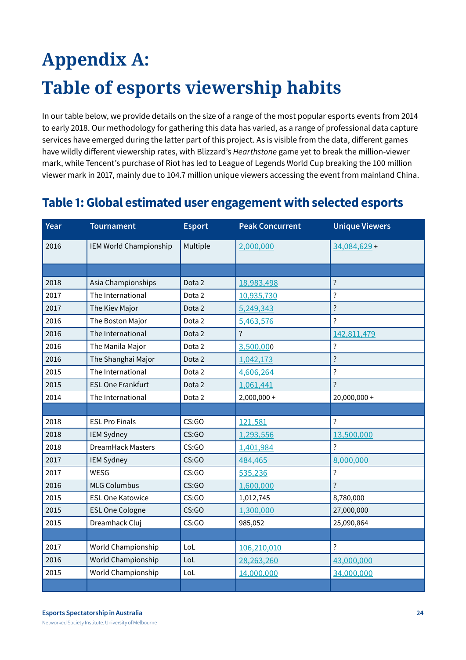# <span id="page-23-0"></span>**Appendix A: Table of esports viewership habits**

In our table below, we provide details on the size of a range of the most popular esports events from 2014 to early 2018. Our methodology for gathering this data has varied, as a range of professional data capture services have emerged during the latter part of this project. As is visible from the data, different games have wildly different viewership rates, with Blizzard's *Hearthstone* game yet to break the million-viewer mark, while Tencent's purchase of Riot has led to League of Legends World Cup breaking the 100 million viewer mark in 2017, mainly due to 104.7 million unique viewers accessing the event from mainland China.

| Year | <b>Tournament</b>        | <b>Esport</b> | <b>Peak Concurrent</b>   | <b>Unique Viewers</b>   |
|------|--------------------------|---------------|--------------------------|-------------------------|
| 2016 | IEM World Championship   | Multiple      | 2,000,000                | $34,084,629 +$          |
|      |                          |               |                          |                         |
| 2018 | Asia Championships       | Dota 2        | 18,983,498               | ?                       |
| 2017 | The International        | Dota 2        | 10,935,730               | ?                       |
| 2017 | The Kiev Major           | Dota 2        | 5,249,343                | ?                       |
| 2016 | The Boston Major         | Dota 2        | 5,463,576                | $\overline{\cdot}$      |
| 2016 | The International        | Dota 2        | $\overline{\phantom{a}}$ | 142,811,479             |
| 2016 | The Manila Major         | Dota 2        | 3,500,000                | $\ddot{?}$              |
| 2016 | The Shanghai Major       | Dota 2        | 1,042,173                | $\overline{\cdot}$      |
| 2015 | The International        | Dota 2        | 4,606,264                | $\ddot{\cdot}$          |
| 2015 | <b>ESL One Frankfurt</b> | Dota 2        | 1,061,441                | $\overline{\cdot}$      |
| 2014 | The International        | Dota 2        | $2,000,000+$             | 20,000,000 +            |
|      |                          |               |                          |                         |
| 2018 | <b>ESL Pro Finals</b>    | CS:GO         | 121,581                  | $\overline{\cdot}$      |
| 2018 | <b>IEM Sydney</b>        | CS:GO         | 1,293,556                | 13,500,000              |
| 2018 | DreamHack Masters        | CS:GO         | 1,401,984                | $\overline{\mathbf{?}}$ |
| 2017 | <b>IEM Sydney</b>        | CS:GO         | 484,465                  | 8,000,000               |
| 2017 | <b>WESG</b>              | CS:GO         | 535,236                  | $\ddot{?}$              |
| 2016 | <b>MLG Columbus</b>      | CS:GO         | 1,600,000                | ?                       |
| 2015 | <b>ESL One Katowice</b>  | CS:GO         | 1,012,745                | 8,780,000               |
| 2015 | <b>ESL One Cologne</b>   | CS:GO         | 1,300,000                | 27,000,000              |
| 2015 | Dreamhack Cluj           | CS:GO         | 985,052                  | 25,090,864              |
|      |                          |               |                          |                         |
| 2017 | World Championship       | LoL           | 106,210,010              | $\ddot{\cdot}$          |
| 2016 | World Championship       | LoL           | 28,263,260               | 43,000,000              |
| 2015 | World Championship       | LoL           | 14,000,000               | 34,000,000              |
|      |                          |               |                          |                         |

### **Table 1: Global estimated user engagement with selected esports**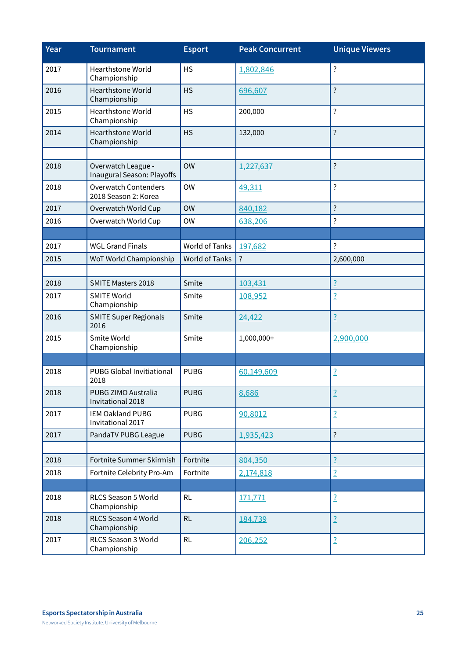| Year | <b>Tournament</b>                                   | <b>Esport</b>         | <b>Peak Concurrent</b> | <b>Unique Viewers</b>   |
|------|-----------------------------------------------------|-----------------------|------------------------|-------------------------|
| 2017 | Hearthstone World<br>Championship                   | <b>HS</b>             | 1,802,846              | ?                       |
| 2016 | <b>Hearthstone World</b><br>Championship            | <b>HS</b>             | 696,607                | $\ddot{\cdot}$          |
| 2015 | Hearthstone World<br>Championship                   | <b>HS</b>             | 200,000                | ?                       |
| 2014 | Hearthstone World<br>Championship                   | <b>HS</b>             | 132,000                | $\ddot{?}$              |
|      |                                                     |                       |                        |                         |
| 2018 | Overwatch League -<br>Inaugural Season: Playoffs    | <b>OW</b>             | 1,227,637              | $\ddot{\cdot}$          |
| 2018 | <b>Overwatch Contenders</b><br>2018 Season 2: Korea | <b>OW</b>             | 49,311                 | ?                       |
| 2017 | Overwatch World Cup                                 | <b>OW</b>             | 840,182                | $\ddot{\cdot}$          |
| 2016 | Overwatch World Cup                                 | <b>OW</b>             | 638,206                | $\overline{\cdot}$      |
|      |                                                     |                       |                        |                         |
| 2017 | <b>WGL Grand Finals</b>                             | <b>World of Tanks</b> | 197,682                | ?                       |
| 2015 | WoT World Championship                              | <b>World of Tanks</b> | ?                      | 2,600,000               |
|      |                                                     |                       |                        |                         |
| 2018 | <b>SMITE Masters 2018</b>                           | Smite                 | 103,431                | $\frac{2}{1}$           |
| 2017 | <b>SMITE World</b><br>Championship                  | Smite                 | 108,952                | $\overline{1}$          |
| 2016 | <b>SMITE Super Regionals</b><br>2016                | Smite                 | 24,422                 | $\overline{\mathbf{?}}$ |
| 2015 | Smite World<br>Championship                         | Smite                 | 1,000,000+             | 2,900,000               |
|      |                                                     |                       |                        |                         |
| 2018 | <b>PUBG Global Invitiational</b><br>2018            | <b>PUBG</b>           | 60,149,609             | $\overline{\mathbf{?}}$ |
| 2018 | PUBG ZIMO Australia<br>Invitational 2018            | <b>PUBG</b>           | 8,686                  | $\overline{\mathbf{?}}$ |
| 2017 | IEM Oakland PUBG<br>Invitational 2017               | <b>PUBG</b>           | 90,8012                | $\overline{\mathbf{?}}$ |
| 2017 | PandaTV PUBG League                                 | <b>PUBG</b>           | 1,935,423              | $\overline{\cdot}$      |
|      |                                                     |                       |                        |                         |
| 2018 | Fortnite Summer Skirmish                            | Fortnite              | 804,350                | $\overline{\mathbf{?}}$ |
| 2018 | Fortnite Celebrity Pro-Am                           | Fortnite              | 2,174,818              | $\overline{\mathbf{?}}$ |
|      |                                                     |                       |                        |                         |
| 2018 | RLCS Season 5 World<br>Championship                 | <b>RL</b>             | 171,771                | $\overline{\mathbf{?}}$ |
| 2018 | RLCS Season 4 World<br>Championship                 | RL                    | 184,739                | $\overline{\mathbf{?}}$ |
| 2017 | RLCS Season 3 World<br>Championship                 | RL                    | 206,252                | $\overline{\mathbf{?}}$ |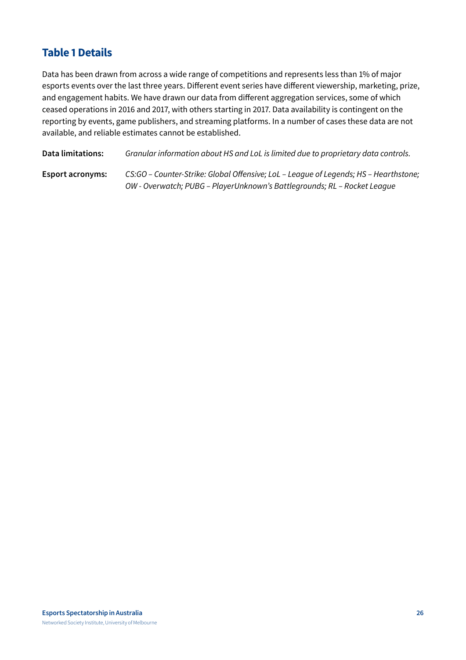#### **Table 1 Details**

Data has been drawn from across a wide range of competitions and represents less than 1% of major esports events over the last three years. Different event series have different viewership, marketing, prize, and engagement habits. We have drawn our data from different aggregation services, some of which ceased operations in 2016 and 2017, with others starting in 2017. Data availability is contingent on the reporting by events, game publishers, and streaming platforms. In a number of cases these data are not available, and reliable estimates cannot be established.

**Data limitations:** *Granular information about HS and LoL is limited due to proprietary data controls.* **Esport acronyms:** *CS:GO – Counter-Strike: Global Offensive; LoL – League of Legends; HS – Hearthstone; OW - Overwatch; PUBG – PlayerUnknown's Battlegrounds; RL – Rocket League*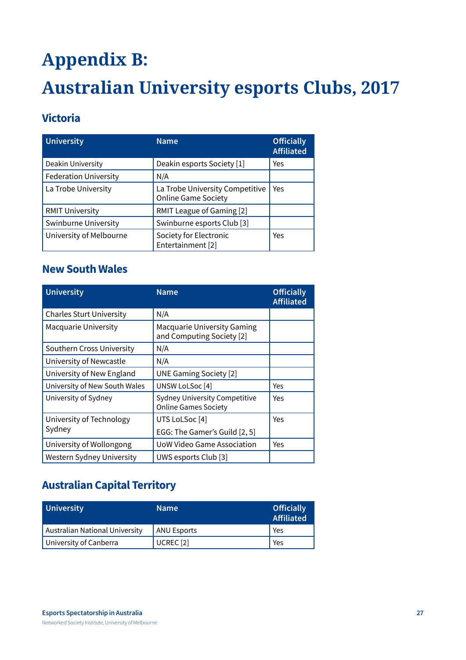# <span id="page-26-0"></span>**Appendix B:**

# **Australian University esports Clubs, 2017**

### **Victoria**

| <b>University</b>            | <b>Name</b>                                                   | <b>Officially</b><br><b>Affiliated</b> |
|------------------------------|---------------------------------------------------------------|----------------------------------------|
| Deakin University            | Deakin esports Society [1]                                    | Yes                                    |
| <b>Federation University</b> | N/A                                                           |                                        |
| La Trobe University          | La Trobe University Competitive<br><b>Online Game Society</b> | Yes                                    |
| <b>RMIT University</b>       | RMIT League of Gaming [2]                                     |                                        |
| Swinburne University         | Swinburne esports Club [3]                                    |                                        |
| University of Melbourne      | Society for Electronic<br>Entertainment [2]                   | Yes                                    |

#### **New South Wales**

| <b>University</b>               | <b>Name</b>                                                         | <b>Officially</b><br><b>Affiliated</b> |
|---------------------------------|---------------------------------------------------------------------|----------------------------------------|
| <b>Charles Sturt University</b> | N/A                                                                 |                                        |
| Macquarie University            | <b>Macquarie University Gaming</b><br>and Computing Society [2]     |                                        |
| Southern Cross University       | N/A                                                                 |                                        |
| University of Newcastle         | N/A                                                                 |                                        |
| University of New England       | <b>UNE Gaming Society [2]</b>                                       |                                        |
| University of New South Wales   | UNSW LoLSoc <sup>[4]</sup>                                          | Yes                                    |
| University of Sydney            | <b>Sydney University Competitive</b><br><b>Online Games Society</b> | Yes                                    |
| University of Technology        | UTS LoLSoc <sup>[4]</sup>                                           | Yes                                    |
| Sydney                          | EGG: The Gamer's Guild [2, 5]                                       |                                        |
| University of Wollongong        | UoW Video Game Association                                          | Yes                                    |
| Western Sydney University       | UWS esports Club [3]                                                |                                        |

### **Australian Capital Territory**

| <b>University</b>              | Name <sup>1</sup>    | <b>Officially</b><br><b>Affiliated</b> |
|--------------------------------|----------------------|----------------------------------------|
| Australian National University | ANU Esports          | Yes                                    |
| University of Canberra         | UCREC <sup>[2]</sup> | Yes                                    |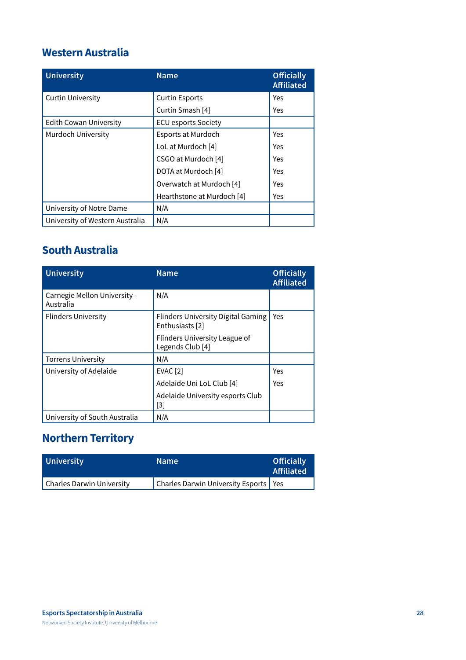#### **Western Australia**

| <b>University</b>               | <b>Name</b>                | <b>Officially</b><br><b>Affiliated</b> |
|---------------------------------|----------------------------|----------------------------------------|
| <b>Curtin University</b>        | <b>Curtin Esports</b>      | Yes                                    |
|                                 | Curtin Smash [4]           | Yes                                    |
| Edith Cowan University          | <b>ECU esports Society</b> |                                        |
| Murdoch University              | Esports at Murdoch         | Yes                                    |
|                                 | LoL at Murdoch [4]         | Yes                                    |
|                                 | CSGO at Murdoch [4]        | Yes                                    |
|                                 | DOTA at Murdoch [4]        | Yes                                    |
|                                 | Overwatch at Murdoch [4]   | Yes                                    |
|                                 | Hearthstone at Murdoch [4] | Yes                                    |
| University of Notre Dame        | N/A                        |                                        |
| University of Western Australia | N/A                        |                                        |

### **South Australia**

| <b>University</b>                         | <b>Name</b>                                                  | <b>Officially</b><br><b>Affiliated</b> |
|-------------------------------------------|--------------------------------------------------------------|----------------------------------------|
| Carnegie Mellon University -<br>Australia | N/A                                                          |                                        |
| <b>Flinders University</b>                | <b>Flinders University Digital Gaming</b><br>Enthusiasts [2] | Yes                                    |
|                                           | Flinders University League of<br>Legends Club [4]            |                                        |
| <b>Torrens University</b>                 | N/A                                                          |                                        |
| University of Adelaide                    | <b>EVAC</b> [2]                                              | Yes                                    |
|                                           | Adelaide Uni LoL Club [4]                                    | Yes                                    |
|                                           | Adelaide University esports Club<br>$[3]$                    |                                        |
| University of South Australia             | N/A                                                          |                                        |

## **Northern Territory**

| <b>University</b>                | <b>Name</b>                             | <b>Officially</b><br><b>Affiliated</b> |
|----------------------------------|-----------------------------------------|----------------------------------------|
| <b>Charles Darwin University</b> | Charles Darwin University Esports   Yes |                                        |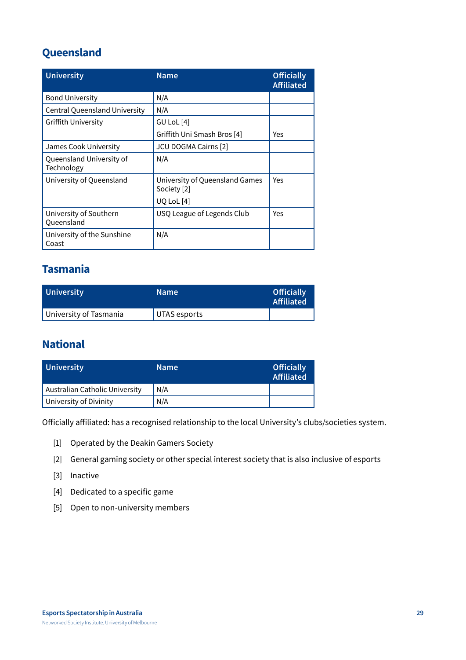#### **Queensland**

| <b>University</b>                      | <b>Name</b>                                   | <b>Officially</b><br><b>Affiliated</b> |
|----------------------------------------|-----------------------------------------------|----------------------------------------|
| <b>Bond University</b>                 | N/A                                           |                                        |
| <b>Central Queensland University</b>   | N/A                                           |                                        |
| Griffith University                    | GU LoL [4]                                    |                                        |
|                                        | Griffith Uni Smash Bros [4]                   | Yes                                    |
| James Cook University                  | JCU DOGMA Cairns [2]                          |                                        |
| Queensland University of<br>Technology | N/A                                           |                                        |
| University of Queensland               | University of Queensland Games<br>Society [2] | Yes                                    |
|                                        | UQ LoL [4]                                    |                                        |
| University of Southern<br>Queensland   | USQ League of Legends Club                    | Yes                                    |
| University of the Sunshine<br>Coast    | N/A                                           |                                        |

#### **Tasmania**

| University             | <b>Name</b>  | <b>Officially</b><br><b>Affiliated</b> |
|------------------------|--------------|----------------------------------------|
| University of Tasmania | UTAS esports |                                        |

#### **National**

| <b>University</b>              | <b>Name</b> | <b>Officially</b><br><b>Affiliated</b> |
|--------------------------------|-------------|----------------------------------------|
| Australian Catholic University | N/A         |                                        |
| University of Divinity         | N/A         |                                        |

Officially affiliated: has a recognised relationship to the local University's clubs/societies system.

- [1] Operated by the Deakin Gamers Society
- [2] General gaming society or other special interest society that is also inclusive of esports
- [3] Inactive
- [4] Dedicated to a specific game
- [5] Open to non-university members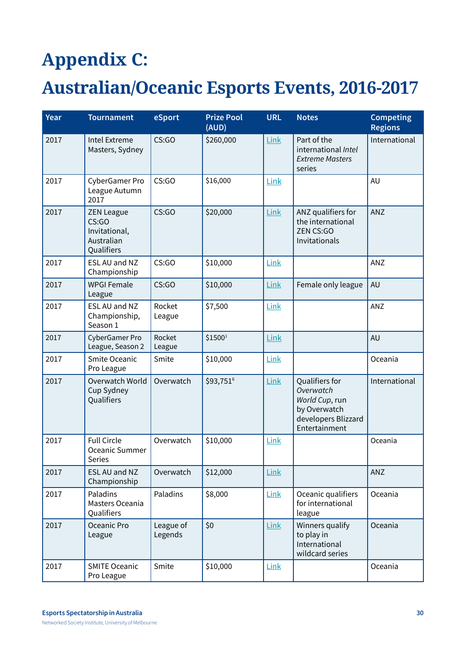# <span id="page-29-0"></span>**Appendix C:**

# **Australian/Oceanic Esports Events, 2016-2017**

| Year | <b>Tournament</b>                                                       | eSport               | <b>Prize Pool</b><br>(AUD) | <b>URL</b> | <b>Notes</b>                                                                                          | <b>Competing</b><br><b>Regions</b> |
|------|-------------------------------------------------------------------------|----------------------|----------------------------|------------|-------------------------------------------------------------------------------------------------------|------------------------------------|
| 2017 | <b>Intel Extreme</b><br>Masters, Sydney                                 | CS:GO                | \$260,000                  | Link       | Part of the<br>international Intel<br><b>Extreme Masters</b><br>series                                | International                      |
| 2017 | CyberGamer Pro<br>League Autumn<br>2017                                 | CS:GO                | \$16,000                   | Link       |                                                                                                       | AU                                 |
| 2017 | <b>ZEN League</b><br>CS:GO<br>Invitational,<br>Australian<br>Qualifiers | CS:GO                | \$20,000                   | Link       | ANZ qualifiers for<br>the international<br>ZEN CS:GO<br>Invitationals                                 | ANZ                                |
| 2017 | ESL AU and NZ<br>Championship                                           | CS:GO                | \$10,000                   | Link       |                                                                                                       | ANZ                                |
| 2017 | <b>WPGI Female</b><br>League                                            | CS:GO                | \$10,000                   | Link       | Female only league                                                                                    | <b>AU</b>                          |
| 2017 | ESL AU and NZ<br>Championship,<br>Season 1                              | Rocket<br>League     | \$7,500                    | Link       |                                                                                                       | ANZ                                |
| 2017 | CyberGamer Pro<br>League, Season 2                                      | Rocket<br>League     | \$1500 <sup>1</sup>        | Link       |                                                                                                       | <b>AU</b>                          |
| 2017 | Smite Oceanic<br>Pro League                                             | Smite                | \$10,000                   | Link       |                                                                                                       | Oceania                            |
| 2017 | Overwatch World<br>Cup Sydney<br>Qualifiers                             | Overwatch            | \$93,7516                  | Link       | Qualifiers for<br>Overwatch<br>World Cup, run<br>by Overwatch<br>developers Blizzard<br>Entertainment | International                      |
| 2017 | <b>Full Circle</b><br>Oceanic Summer<br>Series                          | Overwatch            | \$10,000                   | Link       |                                                                                                       | Oceania                            |
| 2017 | ESL AU and NZ<br>Championship                                           | Overwatch            | \$12,000                   | Link       |                                                                                                       | ANZ                                |
| 2017 | Paladins<br>Masters Oceania<br>Qualifiers                               | Paladins             | \$8,000                    | Link       | Oceanic qualifiers<br>for international<br>league                                                     | Oceania                            |
| 2017 | Oceanic Pro<br>League                                                   | League of<br>Legends | \$0                        | Link       | Winners qualify<br>to play in<br>International<br>wildcard series                                     | Oceania                            |
| 2017 | <b>SMITE Oceanic</b><br>Pro League                                      | Smite                | \$10,000                   | Link       |                                                                                                       | Oceania                            |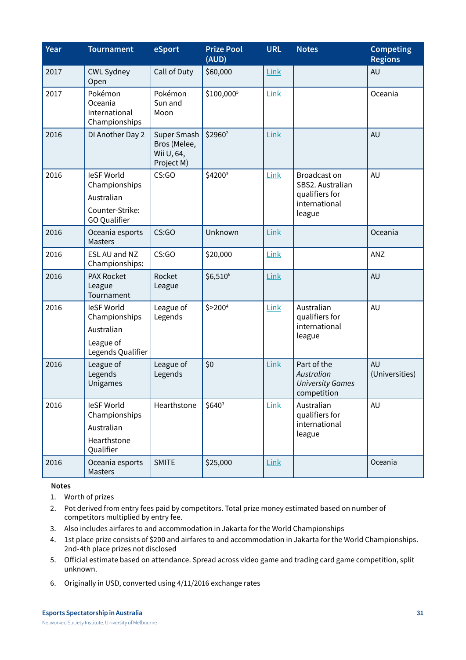| Year | <b>Tournament</b>                                                            | eSport                                                  | <b>Prize Pool</b><br>(AUD) | <b>URL</b> | <b>Notes</b>                                                                  | <b>Competing</b><br><b>Regions</b> |
|------|------------------------------------------------------------------------------|---------------------------------------------------------|----------------------------|------------|-------------------------------------------------------------------------------|------------------------------------|
| 2017 | <b>CWL Sydney</b><br>Open                                                    | Call of Duty                                            | \$60,000                   | Link       |                                                                               | <b>AU</b>                          |
| 2017 | Pokémon<br>Oceania<br>International<br>Championships                         | Pokémon<br>Sun and<br>Moon                              | \$100,0005                 | Link       |                                                                               | Oceania                            |
| 2016 | DI Another Day 2                                                             | Super Smash<br>Bros (Melee,<br>Wii U, 64,<br>Project M) | \$2960 <sup>2</sup>        | Link       |                                                                               | <b>AU</b>                          |
| 2016 | leSF World<br>Championships<br>Australian<br>Counter-Strike:<br>GO Qualifier | CS:GO                                                   | \$42003                    | Link       | Broadcast on<br>SBS2. Australian<br>qualifiers for<br>international<br>league | <b>AU</b>                          |
| 2016 | Oceania esports<br><b>Masters</b>                                            | CS:GO                                                   | Unknown                    | Link       |                                                                               | Oceania                            |
| 2016 | ESL AU and NZ<br>Championships:                                              | CS:GO                                                   | \$20,000                   | Link       |                                                                               | ANZ                                |
| 2016 | <b>PAX Rocket</b><br>League<br>Tournament                                    | Rocket<br>League                                        | \$6,5106                   | Link       |                                                                               | <b>AU</b>                          |
| 2016 | leSF World<br>Championships<br>Australian<br>League of<br>Legends Qualifier  | League of<br>Legends                                    | $$>200^4$                  | Link       | Australian<br>qualifiers for<br>international<br>league                       | <b>AU</b>                          |
| 2016 | League of<br>Legends<br>Unigames                                             | League of<br>Legends                                    | \$0                        | Link       | Part of the<br>Australian<br><b>University Games</b><br>competition           | <b>AU</b><br>(Universities)        |
| 2016 | leSF World<br>Championships<br>Australian<br>Hearthstone<br>Qualifier        | Hearthstone                                             | \$640 <sup>3</sup>         | Link       | Australian<br>qualifiers for<br>international<br>league                       | AU                                 |
| 2016 | Oceania esports<br>Masters                                                   | <b>SMITE</b>                                            | \$25,000                   | Link       |                                                                               | Oceania                            |

#### **Notes**

- 1. Worth of prizes
- 2. Pot derived from entry fees paid by competitors. Total prize money estimated based on number of competitors multiplied by entry fee.
- 3. Also includes airfares to and accommodation in Jakarta for the World Championships
- 4. 1st place prize consists of \$200 and airfares to and accommodation in Jakarta for the World Championships. 2nd-4th place prizes not disclosed
- 5. Official estimate based on attendance. Spread across video game and trading card game competition, split unknown.
- 6. Originally in USD, converted using 4/11/2016 exchange rates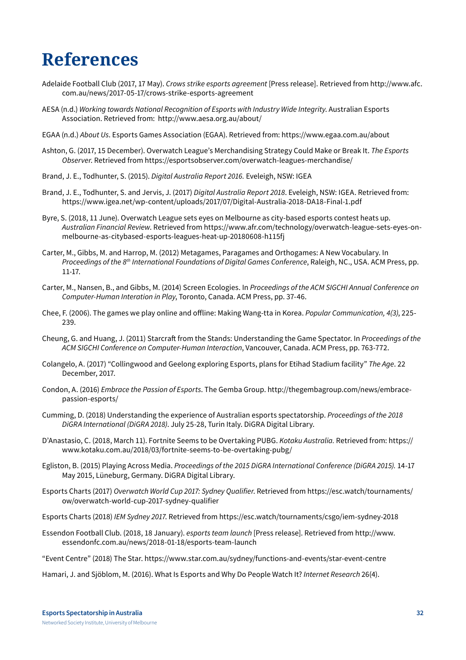## <span id="page-31-0"></span>**References**

- Adelaide Football Club (2017, 17 May). *Crows strike esports agreement* [Press release]. Retrieved from http://www.afc. com.au/news/2017-05-17/crows-strike-esports-agreement
- AESA (n.d.) *Working towards National Recognition of Esports with Industry Wide Integrity*. Australian Esports Association. Retrieved from: http://www.aesa.org.au/about/
- EGAA (n.d.) *About Us*. Esports Games Association (EGAA). Retrieved from: https://www.egaa.com.au/about
- Ashton, G. (2017, 15 December). Overwatch League's Merchandising Strategy Could Make or Break It. *The Esports Observer*. Retrieved from https://esportsobserver.com/overwatch-leagues-merchandise/
- Brand, J. E., Todhunter, S. (2015). *Digital Australia Report 2016.* Eveleigh, NSW: IGEA
- Brand, J. E., Todhunter, S. and Jervis, J. (2017) *Digital Australia Report 2018*. Eveleigh, NSW: IGEA. Retrieved from: https://www.igea.net/wp-content/uploads/2017/07/Digital-Australia-2018-DA18-Final-1.pdf
- Byre, S. (2018, 11 June). Overwatch League sets eyes on Melbourne as city-based esports contest heats up. *Australian Financial Review*. Retrieved from https://www.afr.com/technology/overwatch-league-sets-eyes-onmelbourne-as-citybased-esports-leagues-heat-up-20180608-h115fj
- Carter, M., Gibbs, M. and Harrop, M. (2012) Metagames, Paragames and Orthogames: A New Vocabulary. In *Proceedings of the 8th International Foundations of Digital Games Conference*, Raleigh, NC., USA. ACM Press, pp. 11-17.
- Carter, M., Nansen, B., and Gibbs, M. (2014) Screen Ecologies. In *Proceedings of the ACM SIGCHI Annual Conference on Computer-Human Interation in Play*, Toronto, Canada. ACM Press, pp. 37-46.
- Chee, F. (2006). The games we play online and offline: Making Wang-tta in Korea. *Popular Communication, 4(3)*, 225- 239.
- Cheung, G. and Huang, J. (2011) Starcraft from the Stands: Understanding the Game Spectator. In *Proceedings of the ACM SIGCHI Conference on Computer-Human Interaction*, Vancouver, Canada. ACM Press, pp. 763-772.
- Colangelo, A. (2017) "Collingwood and Geelong exploring Esports, plans for Etihad Stadium facility" *The Age*. 22 December, 2017.
- Condon, A. (2016) *Embrace the Passion of Esports*. The Gemba Group. http://thegembagroup.com/news/embracepassion-esports/
- Cumming, D. (2018) Understanding the experience of Australian esports spectatorship. *Proceedings of the 2018 DiGRA International (DiGRA 2018)*. July 25-28, Turin Italy. DiGRA Digital Library.
- D'Anastasio, C. (2018, March 11). Fortnite Seems to be Overtaking PUBG. *Kotaku Australia.* Retrieved from: https:// www.kotaku.com.au/2018/03/fortnite-seems-to-be-overtaking-pubg/
- Egliston, B. (2015) Playing Across Media. *Proceedings of the 2015 DiGRA International Conference (DiGRA 2015).* 14-17 May 2015, Lüneburg, Germany. DiGRA Digital Library.
- Esports Charts (2017) *Overwatch World Cup 2017: Sydney Qualifier*. Retrieved from https://esc.watch/tournaments/ ow/overwatch-world-cup-2017-sydney-qualifier
- Esports Charts (2018) *IEM Sydney 2017*. Retrieved from https://esc.watch/tournaments/csgo/iem-sydney-2018
- Essendon Football Club. (2018, 18 January). *esports team launch* [Press release]. Retrieved from http://www. essendonfc.com.au/news/2018-01-18/esports-team-launch

"Event Centre" (2018) The Star. https://www.star.com.au/sydney/functions-and-events/star-event-centre

Hamari, J. and Sjöblom, M. (2016). What Is Esports and Why Do People Watch It? *Internet Research* 26(4).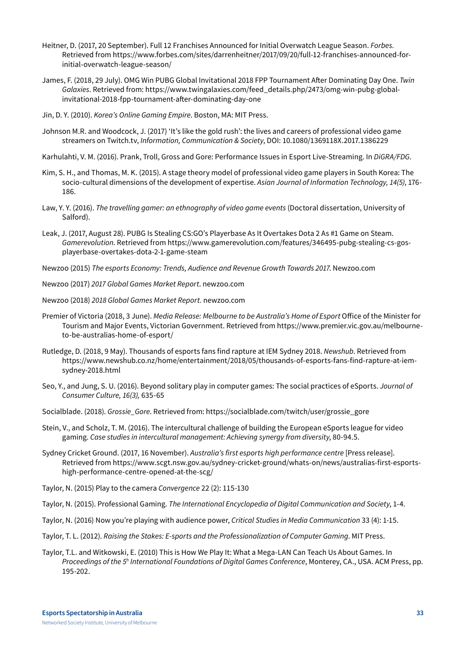- Heitner, D. (2017, 20 September). Full 12 Franchises Announced for Initial Overwatch League Season. *Forbes.*  Retrieved from https://www.forbes.com/sites/darrenheitner/2017/09/20/full-12-franchises-announced-forinitial-overwatch-league-season/
- James, F. (2018, 29 July). OMG Win PUBG Global Invitational 2018 FPP Tournament After Dominating Day One. *Twin Galaxies*. Retrieved from: https://www.twingalaxies.com/feed\_details.php/2473/omg-win-pubg-globalinvitational-2018-fpp-tournament-after-dominating-day-one
- Jin, D. Y. (2010). *Korea's Online Gaming Empire*. Boston, MA: MIT Press.
- Johnson M.R. and Woodcock, J. (2017) 'It's like the gold rush': the lives and careers of professional video game streamers on Twitch.tv, *Information, Communication & Society*, DOI: 10.1080/1369118X.2017.1386229
- Karhulahti, V. M. (2016). Prank, Troll, Gross and Gore: Performance Issues in Esport Live-Streaming. In *DiGRA/FDG*.
- Kim, S. H., and Thomas, M. K. (2015). A stage theory model of professional video game players in South Korea: The socio-cultural dimensions of the development of expertise. *Asian Journal of Information Technology, 14(5)*, 176- 186.
- Law, Y. Y. (2016). *The travelling gamer: an ethnography of video game events* (Doctoral dissertation, University of Salford).
- Leak, J. (2017, August 28). PUBG Is Stealing CS:GO's Playerbase As It Overtakes Dota 2 As #1 Game on Steam. *Gamerevolution*. Retrieved from https://www.gamerevolution.com/features/346495-pubg-stealing-cs-gosplayerbase-overtakes-dota-2-1-game-steam
- Newzoo (2015) *The esports Economy: Trends, Audience and Revenue Growth Towards 2017*. Newzoo.com
- Newzoo (2017) *2017 Global Games Market Report*. newzoo.com
- Newzoo (2018) *2018 Global Games Market Report.* newzoo.com
- Premier of Victoria (2018, 3 June). *Media Release: Melbourne to be Australia's Home of Esport* Office of the Minister for Tourism and Major Events, Victorian Government. Retrieved from https://www.premier.vic.gov.au/melbourneto-be-australias-home-of-esport/
- Rutledge, D. (2018, 9 May). Thousands of esports fans find rapture at IEM Sydney 2018. *Newshub*. Retrieved from https://www.newshub.co.nz/home/entertainment/2018/05/thousands-of-esports-fans-find-rapture-at-iemsydney-2018.html
- Seo, Y., and Jung, S. U. (2016). Beyond solitary play in computer games: The social practices of eSports. *Journal of Consumer Culture, 16(3),* 635-65
- Socialblade. (2018). *Grossie\_Gore*. Retrieved from: https://socialblade.com/twitch/user/grossie\_gore
- Stein, V., and Scholz, T. M. (2016). The intercultural challenge of building the European eSports league for video gaming. *Case studies in intercultural management: Achieving synergy from diversity*, 80-94.5.
- Sydney Cricket Ground. (2017, 16 November). *Australia's first esports high performance centre* [Press release]. Retrieved from https://www.scgt.nsw.gov.au/sydney-cricket-ground/whats-on/news/australias-first-esportshigh-performance-centre-opened-at-the-scg/
- Taylor, N. (2015) Play to the camera *Convergence* 22 (2): 115-130
- Taylor, N. (2015). Professional Gaming. *The International Encyclopedia of Digital Communication and Society*, 1-4.
- Taylor, N. (2016) Now you're playing with audience power, *Critical Studies in Media Communication* 33 (4): 1-15.
- Taylor, T. L. (2012). *Raising the Stakes: E-sports and the Professionalization of Computer Gaming*. MIT Press.
- Taylor, T.L. and Witkowski, E. (2010) This is How We Play It: What a Mega-LAN Can Teach Us About Games. In *Proceedings of the 5h International Foundations of Digital Games Conference*, Monterey, CA., USA. ACM Press, pp. 195-202.